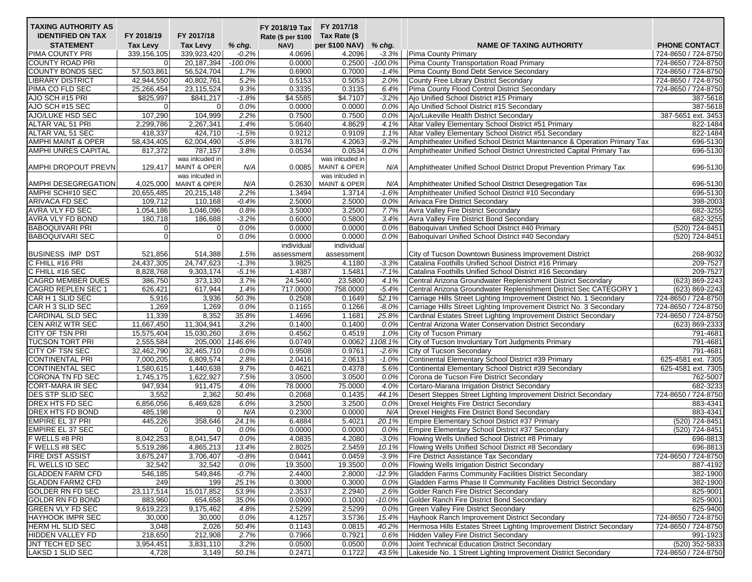| Rate (\$ per \$100<br><b>STATEMENT</b><br><b>Tax Levy</b><br>per \$100 NAV)<br>PHONE CONTACT<br>Tax Levy<br>$%$ chg.<br>NAV)<br><b>NAME OF TAXING AUTHORITY</b><br>% chg.<br>PIMA COUNTY PRI<br>339,923,420<br>4.0696<br>4.2096<br>Pima County Primary<br>724-8650 / 724-8750<br>339, 156, 105<br>$-0.2\%$<br>$-3.3%$<br>$-100.0\%$<br>0.0000<br>0.2500<br>Pima County Transportation Road Primary<br><b>COUNTY ROAD PRI</b><br>20,187,394<br>$-100.0%$<br>$\overline{0}$<br>57,503,861<br>Pima County Bond Debt Service Secondary<br><b>COUNTY BONDS SEC</b><br>56,524,704<br>0.6900<br>0.7000<br>1.7%<br>$-1.4%$<br><b>LIBRARY DISTRICT</b><br>42,944,550<br>40,802,761<br>5.2%<br>0.5153<br>0.5053<br>2.0%<br>County Free Library District Secondary<br>0.3335<br>PIMA CO FLD SEC<br>25,266,454<br>23,115,524<br>9.3%<br>0.3135<br>6.4%<br>Pima County Flood Control District Secondary<br>\$4.5585<br>AJO SCH #15 PRI<br>\$825,997<br>$\overline{$841,217}$<br>$-1.8%$<br>\$4.7107<br>$-3.2%$<br>Ajo Unified School District #15 Primary<br>AJO SCH #15 SEC<br>0.0%<br>0.0000<br>0.0000<br>0.0%<br>Ajo Unified School District #15 Secondary<br>$\overline{0}$<br>0<br>AJO/LUKE HSD SEC<br>107,290<br>104,999<br>2.2%<br>0.7500<br>0.7500<br>0.0%<br>Ajo/Lukeville Health District Secondary<br><b>ALTAR VAL 51 PRI</b><br>5.0640<br>4.8629<br>Altar Valley Elementary School District #51 Primary<br>2,299,786<br>2,267,341<br>1.4%<br>4.1%<br>ALTAR VAL 51 SEC<br>0.9212<br>0.9109<br>Altar Valley Elementary School District #51 Secondary<br>418,337<br>424,710<br>$-1.5%$<br>1.1%<br>62,004,490<br>3.8176<br>4.2063<br>Amphitheater Unified School District Maintenance & Operation Primary Tax<br><b>AMPHI MAINT &amp; OPER</b><br>58,434,405<br>$-5.8%$<br>$-9.2%$<br>AMPHI UNRES CAPITAL<br>787,157<br>0.0534<br>0.0534<br>Amphitheater Unified School District Unrestricted Capital Primary Tax<br>817,372<br>3.8%<br>0.0%<br>was inlcuded in<br>was inlcuded in<br>AMPHI DROPOUT PREVN<br><b>MAINT &amp; OPER</b><br>0.0085<br><b>MAINT &amp; OPER</b><br>Amphitheater Unified School District Droput Prevention Primary Tax<br>129,417<br>N/A<br>N/A<br>was inlcuded in<br>was inlcuded in<br>AMPHI DESEGREGATION<br><b>MAINT &amp; OPER</b><br>0.2630<br><b>MAINT &amp; OPER</b><br>4,025,000<br>N/A<br>N/A<br>Amphitheater Unified School District Desegregation Tax<br>2.2%<br>1.3494<br>Amphitheater Unified School District #10 Secondary<br>AMPHI SCH#10 SEC<br>20,655,485<br>20,215,148<br>1.3714<br>$-1.6%$<br>ARIVACA FD SEC<br>109,712<br>110,168<br>$-0.4%$<br>2.5000<br>2.5000<br>0.0%<br>Arivaca Fire District Secondary<br>3.5000<br>3.2500<br><b>AVRA VLY FD SEC</b><br>1,054,186<br>1,046,096<br>0.8%<br>7.7%<br><b>Avra Valley Fire District Secondary</b><br>AVRA VLY FD BOND<br>186,688<br>$-3.2%$<br>0.6000<br>180,718<br>0.5800<br>Avra Valley Fire District Bond Secondary<br>3.4%<br><b>BABOQUIVARI PRI</b><br>0.0000<br>0.0000<br>Baboquivari Unified School District #40 Primary<br>(520) 724-8451<br>0.0%<br>0.0%<br>$\mathbf 0$<br>0<br><b>BABOQUIVARI SEC</b><br>$\mathbf{0}$<br>0.0000<br>0.0000<br>(520) 724-8451<br>$\overline{0}$<br>$0.0\%$<br>0.0%<br>Baboquivari Unified School District #40 Secondary<br>individual<br>individual<br><b>BUSINESS IMP DST</b><br>City of Tucson Downtown Business Improvement District<br>521,856<br>514,388<br>1.5%<br>assessment<br>assessment<br>C FHILL #16 PRI<br>24,437,305<br>24,747,623<br>$-1.3%$<br>3.9825<br>$-3.3%$<br>Catalina Foothills Unified School District #16 Primary<br>4.1180<br>C FHILL #16 SEC<br>8,828,768<br>$-5.1%$<br>1.4387<br>1.5481<br>9,303,174<br>$-7.1%$<br>Catalina Foothills Unified School District #16 Secondary<br><b>CAGRD MEMBER DUES</b><br>3.7%<br>24.5400<br>Central Arizona Groundwater Replenishment District Secondary<br>386,750<br>373,130<br>23.5800<br>4.1%<br>717.0000<br><b>CAGRD REPLEN SEC 1</b><br>626,421<br>617,944<br>1.4%<br>758.0000<br>$-5.4%$<br>Central Arizona Groundwater Replenishment District Sec CATEGORY 1<br>CAR H 1 SLID SEC<br>50.3%<br>0.2508<br>5,916<br>3,936<br>0.1649<br>52.1%<br>Carriage Hills Street Lighting Improvement District No. 1 Secondary<br>CAR H 3 SLID SEC<br>1,269<br>1,269<br>0.1165<br>0.1266<br>Carriage Hills Street Lighting Improvement District No. 3 Secondary<br>0.0%<br>$-8.0%$<br><b>CARDINAL SLD SEC</b><br>11,339<br>8,352<br>35.8%<br>1.4696<br>1.1681<br>25.8%<br>Cardinal Estates Street Lighting Improvement District Secondary<br>CEN ARIZ WTR SEC<br>3.2%<br>0.1400<br>0.1400<br>11,667,450<br>11,304,941<br>0.0%<br>Central Arizona Water Conservation District Secondary<br><b>CITY OF TSN PRI</b><br>15,030,260<br>0.4562<br>0.4519<br>15,575,404<br>3.6%<br>1.0%<br>City of Tucson Primary<br>791-4681<br>0.0749<br>0.0062 1108.1%<br>City of Tucson Involuntary Tort Judgments Primary<br><b>TUCSON TORT PRI</b><br>2,555,584<br>205,000<br>1146.6%<br>791-4681<br><b>CITY OF TSN SEC</b><br>32,465,710<br>0.9508<br>0.9761<br>City of Tucson Secondary<br>32,462,790<br>0.0%<br>$-2.6%$<br>791-4681<br>Continental Elementary School District #39 Primary<br><b>CONTINENTAL PRI</b><br>7,000,205<br>6,809,574<br>2.8%<br>2.0416<br>2.0613<br>$-1.0%$<br>9.7%<br>0.4621<br><b>CONTINENTAL SEC</b><br>1,580,615<br>1,440,638<br>0.4378<br>5.6%<br>Continental Elementary School District #39 Secondary<br>1,622,927<br>3.0500<br>3.0500<br><b>CORONA TN FD SEC</b><br>1,745,175<br>7.5%<br>0.0%<br>Corona de Tucson Fire District Secondary<br>78.0000<br><b>CORT-MARA IR SEC</b><br>947,934<br>911,475<br>4.0%<br>75.0000<br>4.0%<br>Cortaro-Marana Irrigation District Secondary<br>DES STP SLID SEC<br>3,552<br>2,362<br>50.4%<br>0.2068<br>0.1435<br>44.1%<br>Desert Steppes Street Lighting Improvement District Secondary<br>DREX HTS FD SEC<br>6,469,628<br>3.2500<br>3.2500<br>0.0%<br>6,856,056<br>6.0%<br>Drexel Heights Fire District Secondary<br>883-4341<br>0.2300<br>883-4341<br><b>DREX HTS FD BOND</b><br>485,198<br>N/A<br>0.0000<br>N/A<br>Drexel Heights Fire District Bond Secondary<br>0<br>6.4884<br>5.4021<br><b>EMPIRE EL 37 PRI</b><br>445,226<br>358,646<br>24.1%<br>20.1%<br>Empire Elementary School District #37 Primary<br><b>EMPIRE EL 37 SEC</b><br>0.0000<br>0.0000<br>Empire Elementary School District #37 Secondary<br>(520) 724-8451<br>$\overline{0}$<br>0.0%<br>0.0%<br>0<br>8,041,547<br>4.0835<br>4.2080<br>F WELLS #8 PRI<br>8,042,253<br>$0.0\%$<br>$-3.0%$<br>Flowing Wells Unified School District #8 Primary<br>F WELLS #8 SEC<br>2.8025<br>2.5459<br>Flowing Wells Unified School District #8 Secondary<br>5,519,286<br>4,865,213<br>13.4%<br>10.1%<br><b>FIRE DIST ASSIST</b><br>3,675,247<br>3,706,407<br>$-0.8%$<br>0.0441<br>0.0459<br>$-3.9%$<br>Fire District Assistance Tax Secondary<br><b>FL WELLS ID SEC</b><br>32,542<br>0.0%<br>19.3500<br>19.3500<br>Flowing Wells Irrigation District Secondary<br>32,542<br>$0.0\%$<br><b>GLADDEN FARM CFD</b><br>546,185<br>$-0.7%$<br>Gladden Farms Community Facilities District Secondary<br>549,846<br>2.4400<br>2.8000<br>$-12.9%$<br>0.3000<br><b>GLADDN FARM2 CFD</b><br>249<br>25.1%<br>0.3000<br>Gladden Farms Phase II Community Facilities District Secondary<br>199<br>0.0%<br><b>GOLDER RN FD SEC</b><br>23,117,514<br>15,017,852<br>53.9%<br>2.3537<br>2.2940<br>2.6%<br>Golder Ranch Fire District Secondary<br><b>GOLDR RN FD BOND</b><br>883,960<br>654,658<br>35.0%<br>0.0900<br>0.1000<br>$-10.0%$<br>Golder Ranch Fire District Bond Secondary<br><b>GREEN VLY FD SEC</b><br>2.5299<br>2.5299<br>Green Valley Fire District Secondary<br>9,619,223<br>9,175,462<br>4.8%<br>0.0%<br>4.1257<br><b>HAYHOOK IMPR SEC</b><br>30,000<br>30,000<br>0.0%<br>3.5736<br>15.4%<br>Hayhook Ranch Improvement District Secondary<br><b>HERM HL SLID SEC</b><br>50.4%<br>0.1143<br>0.0815<br>Hermosa Hills Estates Street Lighting Improvement District Secondary<br>3,048<br>2,026<br>40.2%<br>0.7921<br><b>HIDDEN VALLEY FD</b><br>218,650<br>212,908<br>2.7%<br>0.7966<br>Hidden Valley Fire District Secondary<br>$0.6\%$<br><b>JNT TECH ED SEC</b><br>3,954,451<br>3,831,110<br>3.2%<br>0.0500<br>0.0500<br>Joint Technical Education District Secondary<br>0.0%<br>LAKSD 1 SLID SEC<br>4,728<br>0.2471<br>0.1722<br>Lakeside No. 1 Street Lighting Improvement District Secondary<br>3,149<br>50.1%<br>43.5% | <b>TAXING AUTHORITY AS</b> |            |            | FY 2018/19 Tax FY 2017/18 |              |  |  |
|----------------------------------------------------------------------------------------------------------------------------------------------------------------------------------------------------------------------------------------------------------------------------------------------------------------------------------------------------------------------------------------------------------------------------------------------------------------------------------------------------------------------------------------------------------------------------------------------------------------------------------------------------------------------------------------------------------------------------------------------------------------------------------------------------------------------------------------------------------------------------------------------------------------------------------------------------------------------------------------------------------------------------------------------------------------------------------------------------------------------------------------------------------------------------------------------------------------------------------------------------------------------------------------------------------------------------------------------------------------------------------------------------------------------------------------------------------------------------------------------------------------------------------------------------------------------------------------------------------------------------------------------------------------------------------------------------------------------------------------------------------------------------------------------------------------------------------------------------------------------------------------------------------------------------------------------------------------------------------------------------------------------------------------------------------------------------------------------------------------------------------------------------------------------------------------------------------------------------------------------------------------------------------------------------------------------------------------------------------------------------------------------------------------------------------------------------------------------------------------------------------------------------------------------------------------------------------------------------------------------------------------------------------------------------------------------------------------------------------------------------------------------------------------------------------------------------------------------------------------------------------------------------------------------------------------------------------------------------------------------------------------------------------------------------------------------------------------------------------------------------------------------------------------------------------------------------------------------------------------------------------------------------------------------------------------------------------------------------------------------------------------------------------------------------------------------------------------------------------------------------------------------------------------------------------------------------------------------------------------------------------------------------------------------------------------------------------------------------------------------------------------------------------------------------------------------------------------------------------------------------------------------------------------------------------------------------------------------------------------------------------------------------------------------------------------------------------------------------------------------------------------------------------------------------------------------------------------------------------------------------------------------------------------------------------------------------------------------------------------------------------------------------------------------------------------------------------------------------------------------------------------------------------------------------------------------------------------------------------------------------------------------------------------------------------------------------------------------------------------------------------------------------------------------------------------------------------------------------------------------------------------------------------------------------------------------------------------------------------------------------------------------------------------------------------------------------------------------------------------------------------------------------------------------------------------------------------------------------------------------------------------------------------------------------------------------------------------------------------------------------------------------------------------------------------------------------------------------------------------------------------------------------------------------------------------------------------------------------------------------------------------------------------------------------------------------------------------------------------------------------------------------------------------------------------------------------------------------------------------------------------------------------------------------------------------------------------------------------------------------------------------------------------------------------------------------------------------------------------------------------------------------------------------------------------------------------------------------------------------------------------------------------------------------------------------------------------------------------------------------------------------------------------------------------------------------------------------------------------------------------------------------------------------------------------------------------------------------------------------------------------------------------------------------------------------------------------------------------------------------------------------------------------------------------------------------------------------------------------------------------------------------------------------------------------------------------------------------------------------------------------------------------------------------------------------------------------------------------------------------------------------------------------------------------------------------------------------------------------------------------------------------------------------------------------------------------------------------------------------------------------------------------------------------------------------------------------------------------------------------------------------------------------------------------------------------------------------------------------------------------------------------------------------------------------------------------------------------------------------------------------------------------------------------------------------------------------------------------------------------------------------------------------------------------------------------------------------------------------------------------------------------------------------------------------------------------------------------------------------------------------------------------------------------------------------------------------------------------------------------------------------------------------------------------------------------------------------------------------------------------------------------------------------------------------|----------------------------|------------|------------|---------------------------|--------------|--|--|
|                                                                                                                                                                                                                                                                                                                                                                                                                                                                                                                                                                                                                                                                                                                                                                                                                                                                                                                                                                                                                                                                                                                                                                                                                                                                                                                                                                                                                                                                                                                                                                                                                                                                                                                                                                                                                                                                                                                                                                                                                                                                                                                                                                                                                                                                                                                                                                                                                                                                                                                                                                                                                                                                                                                                                                                                                                                                                                                                                                                                                                                                                                                                                                                                                                                                                                                                                                                                                                                                                                                                                                                                                                                                                                                                                                                                                                                                                                                                                                                                                                                                                                                                                                                                                                                                                                                                                                                                                                                                                                                                                                                                                                                                                                                                                                                                                                                                                                                                                                                                                                                                                                                                                                                                                                                                                                                                                                                                                                                                                                                                                                                                                                                                                                                                                                                                                                                                                                                                                                                                                                                                                                                                                                                                                                                                                                                                                                                                                                                                                                                                                                                                                                                                                                                                                                                                                                                                                                                                                                                                                                                                                                                                                                                                                                                                                                                                                                                                                                                                                                                                                                                                                                                                                                                                                                                                                                                                                                                                                                                                                                                                                                                                                                                                                                                                                                                                                                                                                                  | <b>IDENTIFIED ON TAX</b>   | FY 2018/19 | FY 2017/18 |                           | Tax Rate (\$ |  |  |
| 724-8650 / 724-8750<br>724-8650 / 724-8750<br>724-8650 / 724-8750<br>724-8650 / 724-8750<br>387-5618<br>387-5618<br>387-5651 ext. 3453<br>822-1484<br>822-1484<br>696-5130<br>696-5130<br>696-5130<br>696-5130<br>696-5130<br>398-2003<br>682-3255<br>682-3255<br>268-9032<br>209-7527<br>209-7527<br>(623) 869-2243<br>(623) 869-2243<br>724-8650 / 724-8750<br>724-8650 / 724-8750<br>724-8650 / 724-8750<br>(623) 869-2333<br>625-4581 ext. 7305<br>625-4581 ext. 7305<br>762-5007<br>682-3233<br>724-8650 / 724-8750<br>(520) 724-8451<br>696-8813<br>696-8813<br>724-8650 / 724-8750<br>887-4192<br>382-1900<br>382-1900<br>825-9001<br>825-9001<br>625-9400<br>724-8650 / 724-8750<br>724-8650 / 724-8750<br>991-1923<br>(520) 352-5833<br>724-8650 / 724-8750                                                                                                                                                                                                                                                                                                                                                                                                                                                                                                                                                                                                                                                                                                                                                                                                                                                                                                                                                                                                                                                                                                                                                                                                                                                                                                                                                                                                                                                                                                                                                                                                                                                                                                                                                                                                                                                                                                                                                                                                                                                                                                                                                                                                                                                                                                                                                                                                                                                                                                                                                                                                                                                                                                                                                                                                                                                                                                                                                                                                                                                                                                                                                                                                                                                                                                                                                                                                                                                                                                                                                                                                                                                                                                                                                                                                                                                                                                                                                                                                                                                                                                                                                                                                                                                                                                                                                                                                                                                                                                                                                                                                                                                                                                                                                                                                                                                                                                                                                                                                                                                                                                                                                                                                                                                                                                                                                                                                                                                                                                                                                                                                                                                                                                                                                                                                                                                                                                                                                                                                                                                                                                                                                                                                                                                                                                                                                                                                                                                                                                                                                                                                                                                                                                                                                                                                                                                                                                                                                                                                                                                                                                                                                                                                                                                                                                                                                                                                                                                                                                                                                                                                                                                             |                            |            |            |                           |              |  |  |
|                                                                                                                                                                                                                                                                                                                                                                                                                                                                                                                                                                                                                                                                                                                                                                                                                                                                                                                                                                                                                                                                                                                                                                                                                                                                                                                                                                                                                                                                                                                                                                                                                                                                                                                                                                                                                                                                                                                                                                                                                                                                                                                                                                                                                                                                                                                                                                                                                                                                                                                                                                                                                                                                                                                                                                                                                                                                                                                                                                                                                                                                                                                                                                                                                                                                                                                                                                                                                                                                                                                                                                                                                                                                                                                                                                                                                                                                                                                                                                                                                                                                                                                                                                                                                                                                                                                                                                                                                                                                                                                                                                                                                                                                                                                                                                                                                                                                                                                                                                                                                                                                                                                                                                                                                                                                                                                                                                                                                                                                                                                                                                                                                                                                                                                                                                                                                                                                                                                                                                                                                                                                                                                                                                                                                                                                                                                                                                                                                                                                                                                                                                                                                                                                                                                                                                                                                                                                                                                                                                                                                                                                                                                                                                                                                                                                                                                                                                                                                                                                                                                                                                                                                                                                                                                                                                                                                                                                                                                                                                                                                                                                                                                                                                                                                                                                                                                                                                                                                                  |                            |            |            |                           |              |  |  |
|                                                                                                                                                                                                                                                                                                                                                                                                                                                                                                                                                                                                                                                                                                                                                                                                                                                                                                                                                                                                                                                                                                                                                                                                                                                                                                                                                                                                                                                                                                                                                                                                                                                                                                                                                                                                                                                                                                                                                                                                                                                                                                                                                                                                                                                                                                                                                                                                                                                                                                                                                                                                                                                                                                                                                                                                                                                                                                                                                                                                                                                                                                                                                                                                                                                                                                                                                                                                                                                                                                                                                                                                                                                                                                                                                                                                                                                                                                                                                                                                                                                                                                                                                                                                                                                                                                                                                                                                                                                                                                                                                                                                                                                                                                                                                                                                                                                                                                                                                                                                                                                                                                                                                                                                                                                                                                                                                                                                                                                                                                                                                                                                                                                                                                                                                                                                                                                                                                                                                                                                                                                                                                                                                                                                                                                                                                                                                                                                                                                                                                                                                                                                                                                                                                                                                                                                                                                                                                                                                                                                                                                                                                                                                                                                                                                                                                                                                                                                                                                                                                                                                                                                                                                                                                                                                                                                                                                                                                                                                                                                                                                                                                                                                                                                                                                                                                                                                                                                                                  |                            |            |            |                           |              |  |  |
|                                                                                                                                                                                                                                                                                                                                                                                                                                                                                                                                                                                                                                                                                                                                                                                                                                                                                                                                                                                                                                                                                                                                                                                                                                                                                                                                                                                                                                                                                                                                                                                                                                                                                                                                                                                                                                                                                                                                                                                                                                                                                                                                                                                                                                                                                                                                                                                                                                                                                                                                                                                                                                                                                                                                                                                                                                                                                                                                                                                                                                                                                                                                                                                                                                                                                                                                                                                                                                                                                                                                                                                                                                                                                                                                                                                                                                                                                                                                                                                                                                                                                                                                                                                                                                                                                                                                                                                                                                                                                                                                                                                                                                                                                                                                                                                                                                                                                                                                                                                                                                                                                                                                                                                                                                                                                                                                                                                                                                                                                                                                                                                                                                                                                                                                                                                                                                                                                                                                                                                                                                                                                                                                                                                                                                                                                                                                                                                                                                                                                                                                                                                                                                                                                                                                                                                                                                                                                                                                                                                                                                                                                                                                                                                                                                                                                                                                                                                                                                                                                                                                                                                                                                                                                                                                                                                                                                                                                                                                                                                                                                                                                                                                                                                                                                                                                                                                                                                                                                  |                            |            |            |                           |              |  |  |
|                                                                                                                                                                                                                                                                                                                                                                                                                                                                                                                                                                                                                                                                                                                                                                                                                                                                                                                                                                                                                                                                                                                                                                                                                                                                                                                                                                                                                                                                                                                                                                                                                                                                                                                                                                                                                                                                                                                                                                                                                                                                                                                                                                                                                                                                                                                                                                                                                                                                                                                                                                                                                                                                                                                                                                                                                                                                                                                                                                                                                                                                                                                                                                                                                                                                                                                                                                                                                                                                                                                                                                                                                                                                                                                                                                                                                                                                                                                                                                                                                                                                                                                                                                                                                                                                                                                                                                                                                                                                                                                                                                                                                                                                                                                                                                                                                                                                                                                                                                                                                                                                                                                                                                                                                                                                                                                                                                                                                                                                                                                                                                                                                                                                                                                                                                                                                                                                                                                                                                                                                                                                                                                                                                                                                                                                                                                                                                                                                                                                                                                                                                                                                                                                                                                                                                                                                                                                                                                                                                                                                                                                                                                                                                                                                                                                                                                                                                                                                                                                                                                                                                                                                                                                                                                                                                                                                                                                                                                                                                                                                                                                                                                                                                                                                                                                                                                                                                                                                                  |                            |            |            |                           |              |  |  |
|                                                                                                                                                                                                                                                                                                                                                                                                                                                                                                                                                                                                                                                                                                                                                                                                                                                                                                                                                                                                                                                                                                                                                                                                                                                                                                                                                                                                                                                                                                                                                                                                                                                                                                                                                                                                                                                                                                                                                                                                                                                                                                                                                                                                                                                                                                                                                                                                                                                                                                                                                                                                                                                                                                                                                                                                                                                                                                                                                                                                                                                                                                                                                                                                                                                                                                                                                                                                                                                                                                                                                                                                                                                                                                                                                                                                                                                                                                                                                                                                                                                                                                                                                                                                                                                                                                                                                                                                                                                                                                                                                                                                                                                                                                                                                                                                                                                                                                                                                                                                                                                                                                                                                                                                                                                                                                                                                                                                                                                                                                                                                                                                                                                                                                                                                                                                                                                                                                                                                                                                                                                                                                                                                                                                                                                                                                                                                                                                                                                                                                                                                                                                                                                                                                                                                                                                                                                                                                                                                                                                                                                                                                                                                                                                                                                                                                                                                                                                                                                                                                                                                                                                                                                                                                                                                                                                                                                                                                                                                                                                                                                                                                                                                                                                                                                                                                                                                                                                                                  |                            |            |            |                           |              |  |  |
|                                                                                                                                                                                                                                                                                                                                                                                                                                                                                                                                                                                                                                                                                                                                                                                                                                                                                                                                                                                                                                                                                                                                                                                                                                                                                                                                                                                                                                                                                                                                                                                                                                                                                                                                                                                                                                                                                                                                                                                                                                                                                                                                                                                                                                                                                                                                                                                                                                                                                                                                                                                                                                                                                                                                                                                                                                                                                                                                                                                                                                                                                                                                                                                                                                                                                                                                                                                                                                                                                                                                                                                                                                                                                                                                                                                                                                                                                                                                                                                                                                                                                                                                                                                                                                                                                                                                                                                                                                                                                                                                                                                                                                                                                                                                                                                                                                                                                                                                                                                                                                                                                                                                                                                                                                                                                                                                                                                                                                                                                                                                                                                                                                                                                                                                                                                                                                                                                                                                                                                                                                                                                                                                                                                                                                                                                                                                                                                                                                                                                                                                                                                                                                                                                                                                                                                                                                                                                                                                                                                                                                                                                                                                                                                                                                                                                                                                                                                                                                                                                                                                                                                                                                                                                                                                                                                                                                                                                                                                                                                                                                                                                                                                                                                                                                                                                                                                                                                                                                  |                            |            |            |                           |              |  |  |
|                                                                                                                                                                                                                                                                                                                                                                                                                                                                                                                                                                                                                                                                                                                                                                                                                                                                                                                                                                                                                                                                                                                                                                                                                                                                                                                                                                                                                                                                                                                                                                                                                                                                                                                                                                                                                                                                                                                                                                                                                                                                                                                                                                                                                                                                                                                                                                                                                                                                                                                                                                                                                                                                                                                                                                                                                                                                                                                                                                                                                                                                                                                                                                                                                                                                                                                                                                                                                                                                                                                                                                                                                                                                                                                                                                                                                                                                                                                                                                                                                                                                                                                                                                                                                                                                                                                                                                                                                                                                                                                                                                                                                                                                                                                                                                                                                                                                                                                                                                                                                                                                                                                                                                                                                                                                                                                                                                                                                                                                                                                                                                                                                                                                                                                                                                                                                                                                                                                                                                                                                                                                                                                                                                                                                                                                                                                                                                                                                                                                                                                                                                                                                                                                                                                                                                                                                                                                                                                                                                                                                                                                                                                                                                                                                                                                                                                                                                                                                                                                                                                                                                                                                                                                                                                                                                                                                                                                                                                                                                                                                                                                                                                                                                                                                                                                                                                                                                                                                                  |                            |            |            |                           |              |  |  |
|                                                                                                                                                                                                                                                                                                                                                                                                                                                                                                                                                                                                                                                                                                                                                                                                                                                                                                                                                                                                                                                                                                                                                                                                                                                                                                                                                                                                                                                                                                                                                                                                                                                                                                                                                                                                                                                                                                                                                                                                                                                                                                                                                                                                                                                                                                                                                                                                                                                                                                                                                                                                                                                                                                                                                                                                                                                                                                                                                                                                                                                                                                                                                                                                                                                                                                                                                                                                                                                                                                                                                                                                                                                                                                                                                                                                                                                                                                                                                                                                                                                                                                                                                                                                                                                                                                                                                                                                                                                                                                                                                                                                                                                                                                                                                                                                                                                                                                                                                                                                                                                                                                                                                                                                                                                                                                                                                                                                                                                                                                                                                                                                                                                                                                                                                                                                                                                                                                                                                                                                                                                                                                                                                                                                                                                                                                                                                                                                                                                                                                                                                                                                                                                                                                                                                                                                                                                                                                                                                                                                                                                                                                                                                                                                                                                                                                                                                                                                                                                                                                                                                                                                                                                                                                                                                                                                                                                                                                                                                                                                                                                                                                                                                                                                                                                                                                                                                                                                                                  |                            |            |            |                           |              |  |  |
|                                                                                                                                                                                                                                                                                                                                                                                                                                                                                                                                                                                                                                                                                                                                                                                                                                                                                                                                                                                                                                                                                                                                                                                                                                                                                                                                                                                                                                                                                                                                                                                                                                                                                                                                                                                                                                                                                                                                                                                                                                                                                                                                                                                                                                                                                                                                                                                                                                                                                                                                                                                                                                                                                                                                                                                                                                                                                                                                                                                                                                                                                                                                                                                                                                                                                                                                                                                                                                                                                                                                                                                                                                                                                                                                                                                                                                                                                                                                                                                                                                                                                                                                                                                                                                                                                                                                                                                                                                                                                                                                                                                                                                                                                                                                                                                                                                                                                                                                                                                                                                                                                                                                                                                                                                                                                                                                                                                                                                                                                                                                                                                                                                                                                                                                                                                                                                                                                                                                                                                                                                                                                                                                                                                                                                                                                                                                                                                                                                                                                                                                                                                                                                                                                                                                                                                                                                                                                                                                                                                                                                                                                                                                                                                                                                                                                                                                                                                                                                                                                                                                                                                                                                                                                                                                                                                                                                                                                                                                                                                                                                                                                                                                                                                                                                                                                                                                                                                                                                  |                            |            |            |                           |              |  |  |
|                                                                                                                                                                                                                                                                                                                                                                                                                                                                                                                                                                                                                                                                                                                                                                                                                                                                                                                                                                                                                                                                                                                                                                                                                                                                                                                                                                                                                                                                                                                                                                                                                                                                                                                                                                                                                                                                                                                                                                                                                                                                                                                                                                                                                                                                                                                                                                                                                                                                                                                                                                                                                                                                                                                                                                                                                                                                                                                                                                                                                                                                                                                                                                                                                                                                                                                                                                                                                                                                                                                                                                                                                                                                                                                                                                                                                                                                                                                                                                                                                                                                                                                                                                                                                                                                                                                                                                                                                                                                                                                                                                                                                                                                                                                                                                                                                                                                                                                                                                                                                                                                                                                                                                                                                                                                                                                                                                                                                                                                                                                                                                                                                                                                                                                                                                                                                                                                                                                                                                                                                                                                                                                                                                                                                                                                                                                                                                                                                                                                                                                                                                                                                                                                                                                                                                                                                                                                                                                                                                                                                                                                                                                                                                                                                                                                                                                                                                                                                                                                                                                                                                                                                                                                                                                                                                                                                                                                                                                                                                                                                                                                                                                                                                                                                                                                                                                                                                                                                                  |                            |            |            |                           |              |  |  |
|                                                                                                                                                                                                                                                                                                                                                                                                                                                                                                                                                                                                                                                                                                                                                                                                                                                                                                                                                                                                                                                                                                                                                                                                                                                                                                                                                                                                                                                                                                                                                                                                                                                                                                                                                                                                                                                                                                                                                                                                                                                                                                                                                                                                                                                                                                                                                                                                                                                                                                                                                                                                                                                                                                                                                                                                                                                                                                                                                                                                                                                                                                                                                                                                                                                                                                                                                                                                                                                                                                                                                                                                                                                                                                                                                                                                                                                                                                                                                                                                                                                                                                                                                                                                                                                                                                                                                                                                                                                                                                                                                                                                                                                                                                                                                                                                                                                                                                                                                                                                                                                                                                                                                                                                                                                                                                                                                                                                                                                                                                                                                                                                                                                                                                                                                                                                                                                                                                                                                                                                                                                                                                                                                                                                                                                                                                                                                                                                                                                                                                                                                                                                                                                                                                                                                                                                                                                                                                                                                                                                                                                                                                                                                                                                                                                                                                                                                                                                                                                                                                                                                                                                                                                                                                                                                                                                                                                                                                                                                                                                                                                                                                                                                                                                                                                                                                                                                                                                                                  |                            |            |            |                           |              |  |  |
|                                                                                                                                                                                                                                                                                                                                                                                                                                                                                                                                                                                                                                                                                                                                                                                                                                                                                                                                                                                                                                                                                                                                                                                                                                                                                                                                                                                                                                                                                                                                                                                                                                                                                                                                                                                                                                                                                                                                                                                                                                                                                                                                                                                                                                                                                                                                                                                                                                                                                                                                                                                                                                                                                                                                                                                                                                                                                                                                                                                                                                                                                                                                                                                                                                                                                                                                                                                                                                                                                                                                                                                                                                                                                                                                                                                                                                                                                                                                                                                                                                                                                                                                                                                                                                                                                                                                                                                                                                                                                                                                                                                                                                                                                                                                                                                                                                                                                                                                                                                                                                                                                                                                                                                                                                                                                                                                                                                                                                                                                                                                                                                                                                                                                                                                                                                                                                                                                                                                                                                                                                                                                                                                                                                                                                                                                                                                                                                                                                                                                                                                                                                                                                                                                                                                                                                                                                                                                                                                                                                                                                                                                                                                                                                                                                                                                                                                                                                                                                                                                                                                                                                                                                                                                                                                                                                                                                                                                                                                                                                                                                                                                                                                                                                                                                                                                                                                                                                                                                  |                            |            |            |                           |              |  |  |
|                                                                                                                                                                                                                                                                                                                                                                                                                                                                                                                                                                                                                                                                                                                                                                                                                                                                                                                                                                                                                                                                                                                                                                                                                                                                                                                                                                                                                                                                                                                                                                                                                                                                                                                                                                                                                                                                                                                                                                                                                                                                                                                                                                                                                                                                                                                                                                                                                                                                                                                                                                                                                                                                                                                                                                                                                                                                                                                                                                                                                                                                                                                                                                                                                                                                                                                                                                                                                                                                                                                                                                                                                                                                                                                                                                                                                                                                                                                                                                                                                                                                                                                                                                                                                                                                                                                                                                                                                                                                                                                                                                                                                                                                                                                                                                                                                                                                                                                                                                                                                                                                                                                                                                                                                                                                                                                                                                                                                                                                                                                                                                                                                                                                                                                                                                                                                                                                                                                                                                                                                                                                                                                                                                                                                                                                                                                                                                                                                                                                                                                                                                                                                                                                                                                                                                                                                                                                                                                                                                                                                                                                                                                                                                                                                                                                                                                                                                                                                                                                                                                                                                                                                                                                                                                                                                                                                                                                                                                                                                                                                                                                                                                                                                                                                                                                                                                                                                                                                                  |                            |            |            |                           |              |  |  |
|                                                                                                                                                                                                                                                                                                                                                                                                                                                                                                                                                                                                                                                                                                                                                                                                                                                                                                                                                                                                                                                                                                                                                                                                                                                                                                                                                                                                                                                                                                                                                                                                                                                                                                                                                                                                                                                                                                                                                                                                                                                                                                                                                                                                                                                                                                                                                                                                                                                                                                                                                                                                                                                                                                                                                                                                                                                                                                                                                                                                                                                                                                                                                                                                                                                                                                                                                                                                                                                                                                                                                                                                                                                                                                                                                                                                                                                                                                                                                                                                                                                                                                                                                                                                                                                                                                                                                                                                                                                                                                                                                                                                                                                                                                                                                                                                                                                                                                                                                                                                                                                                                                                                                                                                                                                                                                                                                                                                                                                                                                                                                                                                                                                                                                                                                                                                                                                                                                                                                                                                                                                                                                                                                                                                                                                                                                                                                                                                                                                                                                                                                                                                                                                                                                                                                                                                                                                                                                                                                                                                                                                                                                                                                                                                                                                                                                                                                                                                                                                                                                                                                                                                                                                                                                                                                                                                                                                                                                                                                                                                                                                                                                                                                                                                                                                                                                                                                                                                                                  |                            |            |            |                           |              |  |  |
|                                                                                                                                                                                                                                                                                                                                                                                                                                                                                                                                                                                                                                                                                                                                                                                                                                                                                                                                                                                                                                                                                                                                                                                                                                                                                                                                                                                                                                                                                                                                                                                                                                                                                                                                                                                                                                                                                                                                                                                                                                                                                                                                                                                                                                                                                                                                                                                                                                                                                                                                                                                                                                                                                                                                                                                                                                                                                                                                                                                                                                                                                                                                                                                                                                                                                                                                                                                                                                                                                                                                                                                                                                                                                                                                                                                                                                                                                                                                                                                                                                                                                                                                                                                                                                                                                                                                                                                                                                                                                                                                                                                                                                                                                                                                                                                                                                                                                                                                                                                                                                                                                                                                                                                                                                                                                                                                                                                                                                                                                                                                                                                                                                                                                                                                                                                                                                                                                                                                                                                                                                                                                                                                                                                                                                                                                                                                                                                                                                                                                                                                                                                                                                                                                                                                                                                                                                                                                                                                                                                                                                                                                                                                                                                                                                                                                                                                                                                                                                                                                                                                                                                                                                                                                                                                                                                                                                                                                                                                                                                                                                                                                                                                                                                                                                                                                                                                                                                                                                  |                            |            |            |                           |              |  |  |
|                                                                                                                                                                                                                                                                                                                                                                                                                                                                                                                                                                                                                                                                                                                                                                                                                                                                                                                                                                                                                                                                                                                                                                                                                                                                                                                                                                                                                                                                                                                                                                                                                                                                                                                                                                                                                                                                                                                                                                                                                                                                                                                                                                                                                                                                                                                                                                                                                                                                                                                                                                                                                                                                                                                                                                                                                                                                                                                                                                                                                                                                                                                                                                                                                                                                                                                                                                                                                                                                                                                                                                                                                                                                                                                                                                                                                                                                                                                                                                                                                                                                                                                                                                                                                                                                                                                                                                                                                                                                                                                                                                                                                                                                                                                                                                                                                                                                                                                                                                                                                                                                                                                                                                                                                                                                                                                                                                                                                                                                                                                                                                                                                                                                                                                                                                                                                                                                                                                                                                                                                                                                                                                                                                                                                                                                                                                                                                                                                                                                                                                                                                                                                                                                                                                                                                                                                                                                                                                                                                                                                                                                                                                                                                                                                                                                                                                                                                                                                                                                                                                                                                                                                                                                                                                                                                                                                                                                                                                                                                                                                                                                                                                                                                                                                                                                                                                                                                                                                                  |                            |            |            |                           |              |  |  |
|                                                                                                                                                                                                                                                                                                                                                                                                                                                                                                                                                                                                                                                                                                                                                                                                                                                                                                                                                                                                                                                                                                                                                                                                                                                                                                                                                                                                                                                                                                                                                                                                                                                                                                                                                                                                                                                                                                                                                                                                                                                                                                                                                                                                                                                                                                                                                                                                                                                                                                                                                                                                                                                                                                                                                                                                                                                                                                                                                                                                                                                                                                                                                                                                                                                                                                                                                                                                                                                                                                                                                                                                                                                                                                                                                                                                                                                                                                                                                                                                                                                                                                                                                                                                                                                                                                                                                                                                                                                                                                                                                                                                                                                                                                                                                                                                                                                                                                                                                                                                                                                                                                                                                                                                                                                                                                                                                                                                                                                                                                                                                                                                                                                                                                                                                                                                                                                                                                                                                                                                                                                                                                                                                                                                                                                                                                                                                                                                                                                                                                                                                                                                                                                                                                                                                                                                                                                                                                                                                                                                                                                                                                                                                                                                                                                                                                                                                                                                                                                                                                                                                                                                                                                                                                                                                                                                                                                                                                                                                                                                                                                                                                                                                                                                                                                                                                                                                                                                                                  |                            |            |            |                           |              |  |  |
|                                                                                                                                                                                                                                                                                                                                                                                                                                                                                                                                                                                                                                                                                                                                                                                                                                                                                                                                                                                                                                                                                                                                                                                                                                                                                                                                                                                                                                                                                                                                                                                                                                                                                                                                                                                                                                                                                                                                                                                                                                                                                                                                                                                                                                                                                                                                                                                                                                                                                                                                                                                                                                                                                                                                                                                                                                                                                                                                                                                                                                                                                                                                                                                                                                                                                                                                                                                                                                                                                                                                                                                                                                                                                                                                                                                                                                                                                                                                                                                                                                                                                                                                                                                                                                                                                                                                                                                                                                                                                                                                                                                                                                                                                                                                                                                                                                                                                                                                                                                                                                                                                                                                                                                                                                                                                                                                                                                                                                                                                                                                                                                                                                                                                                                                                                                                                                                                                                                                                                                                                                                                                                                                                                                                                                                                                                                                                                                                                                                                                                                                                                                                                                                                                                                                                                                                                                                                                                                                                                                                                                                                                                                                                                                                                                                                                                                                                                                                                                                                                                                                                                                                                                                                                                                                                                                                                                                                                                                                                                                                                                                                                                                                                                                                                                                                                                                                                                                                                                  |                            |            |            |                           |              |  |  |
|                                                                                                                                                                                                                                                                                                                                                                                                                                                                                                                                                                                                                                                                                                                                                                                                                                                                                                                                                                                                                                                                                                                                                                                                                                                                                                                                                                                                                                                                                                                                                                                                                                                                                                                                                                                                                                                                                                                                                                                                                                                                                                                                                                                                                                                                                                                                                                                                                                                                                                                                                                                                                                                                                                                                                                                                                                                                                                                                                                                                                                                                                                                                                                                                                                                                                                                                                                                                                                                                                                                                                                                                                                                                                                                                                                                                                                                                                                                                                                                                                                                                                                                                                                                                                                                                                                                                                                                                                                                                                                                                                                                                                                                                                                                                                                                                                                                                                                                                                                                                                                                                                                                                                                                                                                                                                                                                                                                                                                                                                                                                                                                                                                                                                                                                                                                                                                                                                                                                                                                                                                                                                                                                                                                                                                                                                                                                                                                                                                                                                                                                                                                                                                                                                                                                                                                                                                                                                                                                                                                                                                                                                                                                                                                                                                                                                                                                                                                                                                                                                                                                                                                                                                                                                                                                                                                                                                                                                                                                                                                                                                                                                                                                                                                                                                                                                                                                                                                                                                  |                            |            |            |                           |              |  |  |
|                                                                                                                                                                                                                                                                                                                                                                                                                                                                                                                                                                                                                                                                                                                                                                                                                                                                                                                                                                                                                                                                                                                                                                                                                                                                                                                                                                                                                                                                                                                                                                                                                                                                                                                                                                                                                                                                                                                                                                                                                                                                                                                                                                                                                                                                                                                                                                                                                                                                                                                                                                                                                                                                                                                                                                                                                                                                                                                                                                                                                                                                                                                                                                                                                                                                                                                                                                                                                                                                                                                                                                                                                                                                                                                                                                                                                                                                                                                                                                                                                                                                                                                                                                                                                                                                                                                                                                                                                                                                                                                                                                                                                                                                                                                                                                                                                                                                                                                                                                                                                                                                                                                                                                                                                                                                                                                                                                                                                                                                                                                                                                                                                                                                                                                                                                                                                                                                                                                                                                                                                                                                                                                                                                                                                                                                                                                                                                                                                                                                                                                                                                                                                                                                                                                                                                                                                                                                                                                                                                                                                                                                                                                                                                                                                                                                                                                                                                                                                                                                                                                                                                                                                                                                                                                                                                                                                                                                                                                                                                                                                                                                                                                                                                                                                                                                                                                                                                                                                                  |                            |            |            |                           |              |  |  |
|                                                                                                                                                                                                                                                                                                                                                                                                                                                                                                                                                                                                                                                                                                                                                                                                                                                                                                                                                                                                                                                                                                                                                                                                                                                                                                                                                                                                                                                                                                                                                                                                                                                                                                                                                                                                                                                                                                                                                                                                                                                                                                                                                                                                                                                                                                                                                                                                                                                                                                                                                                                                                                                                                                                                                                                                                                                                                                                                                                                                                                                                                                                                                                                                                                                                                                                                                                                                                                                                                                                                                                                                                                                                                                                                                                                                                                                                                                                                                                                                                                                                                                                                                                                                                                                                                                                                                                                                                                                                                                                                                                                                                                                                                                                                                                                                                                                                                                                                                                                                                                                                                                                                                                                                                                                                                                                                                                                                                                                                                                                                                                                                                                                                                                                                                                                                                                                                                                                                                                                                                                                                                                                                                                                                                                                                                                                                                                                                                                                                                                                                                                                                                                                                                                                                                                                                                                                                                                                                                                                                                                                                                                                                                                                                                                                                                                                                                                                                                                                                                                                                                                                                                                                                                                                                                                                                                                                                                                                                                                                                                                                                                                                                                                                                                                                                                                                                                                                                                                  |                            |            |            |                           |              |  |  |
|                                                                                                                                                                                                                                                                                                                                                                                                                                                                                                                                                                                                                                                                                                                                                                                                                                                                                                                                                                                                                                                                                                                                                                                                                                                                                                                                                                                                                                                                                                                                                                                                                                                                                                                                                                                                                                                                                                                                                                                                                                                                                                                                                                                                                                                                                                                                                                                                                                                                                                                                                                                                                                                                                                                                                                                                                                                                                                                                                                                                                                                                                                                                                                                                                                                                                                                                                                                                                                                                                                                                                                                                                                                                                                                                                                                                                                                                                                                                                                                                                                                                                                                                                                                                                                                                                                                                                                                                                                                                                                                                                                                                                                                                                                                                                                                                                                                                                                                                                                                                                                                                                                                                                                                                                                                                                                                                                                                                                                                                                                                                                                                                                                                                                                                                                                                                                                                                                                                                                                                                                                                                                                                                                                                                                                                                                                                                                                                                                                                                                                                                                                                                                                                                                                                                                                                                                                                                                                                                                                                                                                                                                                                                                                                                                                                                                                                                                                                                                                                                                                                                                                                                                                                                                                                                                                                                                                                                                                                                                                                                                                                                                                                                                                                                                                                                                                                                                                                                                                  |                            |            |            |                           |              |  |  |
|                                                                                                                                                                                                                                                                                                                                                                                                                                                                                                                                                                                                                                                                                                                                                                                                                                                                                                                                                                                                                                                                                                                                                                                                                                                                                                                                                                                                                                                                                                                                                                                                                                                                                                                                                                                                                                                                                                                                                                                                                                                                                                                                                                                                                                                                                                                                                                                                                                                                                                                                                                                                                                                                                                                                                                                                                                                                                                                                                                                                                                                                                                                                                                                                                                                                                                                                                                                                                                                                                                                                                                                                                                                                                                                                                                                                                                                                                                                                                                                                                                                                                                                                                                                                                                                                                                                                                                                                                                                                                                                                                                                                                                                                                                                                                                                                                                                                                                                                                                                                                                                                                                                                                                                                                                                                                                                                                                                                                                                                                                                                                                                                                                                                                                                                                                                                                                                                                                                                                                                                                                                                                                                                                                                                                                                                                                                                                                                                                                                                                                                                                                                                                                                                                                                                                                                                                                                                                                                                                                                                                                                                                                                                                                                                                                                                                                                                                                                                                                                                                                                                                                                                                                                                                                                                                                                                                                                                                                                                                                                                                                                                                                                                                                                                                                                                                                                                                                                                                                  |                            |            |            |                           |              |  |  |
|                                                                                                                                                                                                                                                                                                                                                                                                                                                                                                                                                                                                                                                                                                                                                                                                                                                                                                                                                                                                                                                                                                                                                                                                                                                                                                                                                                                                                                                                                                                                                                                                                                                                                                                                                                                                                                                                                                                                                                                                                                                                                                                                                                                                                                                                                                                                                                                                                                                                                                                                                                                                                                                                                                                                                                                                                                                                                                                                                                                                                                                                                                                                                                                                                                                                                                                                                                                                                                                                                                                                                                                                                                                                                                                                                                                                                                                                                                                                                                                                                                                                                                                                                                                                                                                                                                                                                                                                                                                                                                                                                                                                                                                                                                                                                                                                                                                                                                                                                                                                                                                                                                                                                                                                                                                                                                                                                                                                                                                                                                                                                                                                                                                                                                                                                                                                                                                                                                                                                                                                                                                                                                                                                                                                                                                                                                                                                                                                                                                                                                                                                                                                                                                                                                                                                                                                                                                                                                                                                                                                                                                                                                                                                                                                                                                                                                                                                                                                                                                                                                                                                                                                                                                                                                                                                                                                                                                                                                                                                                                                                                                                                                                                                                                                                                                                                                                                                                                                                                  |                            |            |            |                           |              |  |  |
|                                                                                                                                                                                                                                                                                                                                                                                                                                                                                                                                                                                                                                                                                                                                                                                                                                                                                                                                                                                                                                                                                                                                                                                                                                                                                                                                                                                                                                                                                                                                                                                                                                                                                                                                                                                                                                                                                                                                                                                                                                                                                                                                                                                                                                                                                                                                                                                                                                                                                                                                                                                                                                                                                                                                                                                                                                                                                                                                                                                                                                                                                                                                                                                                                                                                                                                                                                                                                                                                                                                                                                                                                                                                                                                                                                                                                                                                                                                                                                                                                                                                                                                                                                                                                                                                                                                                                                                                                                                                                                                                                                                                                                                                                                                                                                                                                                                                                                                                                                                                                                                                                                                                                                                                                                                                                                                                                                                                                                                                                                                                                                                                                                                                                                                                                                                                                                                                                                                                                                                                                                                                                                                                                                                                                                                                                                                                                                                                                                                                                                                                                                                                                                                                                                                                                                                                                                                                                                                                                                                                                                                                                                                                                                                                                                                                                                                                                                                                                                                                                                                                                                                                                                                                                                                                                                                                                                                                                                                                                                                                                                                                                                                                                                                                                                                                                                                                                                                                                                  |                            |            |            |                           |              |  |  |
|                                                                                                                                                                                                                                                                                                                                                                                                                                                                                                                                                                                                                                                                                                                                                                                                                                                                                                                                                                                                                                                                                                                                                                                                                                                                                                                                                                                                                                                                                                                                                                                                                                                                                                                                                                                                                                                                                                                                                                                                                                                                                                                                                                                                                                                                                                                                                                                                                                                                                                                                                                                                                                                                                                                                                                                                                                                                                                                                                                                                                                                                                                                                                                                                                                                                                                                                                                                                                                                                                                                                                                                                                                                                                                                                                                                                                                                                                                                                                                                                                                                                                                                                                                                                                                                                                                                                                                                                                                                                                                                                                                                                                                                                                                                                                                                                                                                                                                                                                                                                                                                                                                                                                                                                                                                                                                                                                                                                                                                                                                                                                                                                                                                                                                                                                                                                                                                                                                                                                                                                                                                                                                                                                                                                                                                                                                                                                                                                                                                                                                                                                                                                                                                                                                                                                                                                                                                                                                                                                                                                                                                                                                                                                                                                                                                                                                                                                                                                                                                                                                                                                                                                                                                                                                                                                                                                                                                                                                                                                                                                                                                                                                                                                                                                                                                                                                                                                                                                                                  |                            |            |            |                           |              |  |  |
|                                                                                                                                                                                                                                                                                                                                                                                                                                                                                                                                                                                                                                                                                                                                                                                                                                                                                                                                                                                                                                                                                                                                                                                                                                                                                                                                                                                                                                                                                                                                                                                                                                                                                                                                                                                                                                                                                                                                                                                                                                                                                                                                                                                                                                                                                                                                                                                                                                                                                                                                                                                                                                                                                                                                                                                                                                                                                                                                                                                                                                                                                                                                                                                                                                                                                                                                                                                                                                                                                                                                                                                                                                                                                                                                                                                                                                                                                                                                                                                                                                                                                                                                                                                                                                                                                                                                                                                                                                                                                                                                                                                                                                                                                                                                                                                                                                                                                                                                                                                                                                                                                                                                                                                                                                                                                                                                                                                                                                                                                                                                                                                                                                                                                                                                                                                                                                                                                                                                                                                                                                                                                                                                                                                                                                                                                                                                                                                                                                                                                                                                                                                                                                                                                                                                                                                                                                                                                                                                                                                                                                                                                                                                                                                                                                                                                                                                                                                                                                                                                                                                                                                                                                                                                                                                                                                                                                                                                                                                                                                                                                                                                                                                                                                                                                                                                                                                                                                                                                  |                            |            |            |                           |              |  |  |
|                                                                                                                                                                                                                                                                                                                                                                                                                                                                                                                                                                                                                                                                                                                                                                                                                                                                                                                                                                                                                                                                                                                                                                                                                                                                                                                                                                                                                                                                                                                                                                                                                                                                                                                                                                                                                                                                                                                                                                                                                                                                                                                                                                                                                                                                                                                                                                                                                                                                                                                                                                                                                                                                                                                                                                                                                                                                                                                                                                                                                                                                                                                                                                                                                                                                                                                                                                                                                                                                                                                                                                                                                                                                                                                                                                                                                                                                                                                                                                                                                                                                                                                                                                                                                                                                                                                                                                                                                                                                                                                                                                                                                                                                                                                                                                                                                                                                                                                                                                                                                                                                                                                                                                                                                                                                                                                                                                                                                                                                                                                                                                                                                                                                                                                                                                                                                                                                                                                                                                                                                                                                                                                                                                                                                                                                                                                                                                                                                                                                                                                                                                                                                                                                                                                                                                                                                                                                                                                                                                                                                                                                                                                                                                                                                                                                                                                                                                                                                                                                                                                                                                                                                                                                                                                                                                                                                                                                                                                                                                                                                                                                                                                                                                                                                                                                                                                                                                                                                                  |                            |            |            |                           |              |  |  |
|                                                                                                                                                                                                                                                                                                                                                                                                                                                                                                                                                                                                                                                                                                                                                                                                                                                                                                                                                                                                                                                                                                                                                                                                                                                                                                                                                                                                                                                                                                                                                                                                                                                                                                                                                                                                                                                                                                                                                                                                                                                                                                                                                                                                                                                                                                                                                                                                                                                                                                                                                                                                                                                                                                                                                                                                                                                                                                                                                                                                                                                                                                                                                                                                                                                                                                                                                                                                                                                                                                                                                                                                                                                                                                                                                                                                                                                                                                                                                                                                                                                                                                                                                                                                                                                                                                                                                                                                                                                                                                                                                                                                                                                                                                                                                                                                                                                                                                                                                                                                                                                                                                                                                                                                                                                                                                                                                                                                                                                                                                                                                                                                                                                                                                                                                                                                                                                                                                                                                                                                                                                                                                                                                                                                                                                                                                                                                                                                                                                                                                                                                                                                                                                                                                                                                                                                                                                                                                                                                                                                                                                                                                                                                                                                                                                                                                                                                                                                                                                                                                                                                                                                                                                                                                                                                                                                                                                                                                                                                                                                                                                                                                                                                                                                                                                                                                                                                                                                                                  |                            |            |            |                           |              |  |  |
|                                                                                                                                                                                                                                                                                                                                                                                                                                                                                                                                                                                                                                                                                                                                                                                                                                                                                                                                                                                                                                                                                                                                                                                                                                                                                                                                                                                                                                                                                                                                                                                                                                                                                                                                                                                                                                                                                                                                                                                                                                                                                                                                                                                                                                                                                                                                                                                                                                                                                                                                                                                                                                                                                                                                                                                                                                                                                                                                                                                                                                                                                                                                                                                                                                                                                                                                                                                                                                                                                                                                                                                                                                                                                                                                                                                                                                                                                                                                                                                                                                                                                                                                                                                                                                                                                                                                                                                                                                                                                                                                                                                                                                                                                                                                                                                                                                                                                                                                                                                                                                                                                                                                                                                                                                                                                                                                                                                                                                                                                                                                                                                                                                                                                                                                                                                                                                                                                                                                                                                                                                                                                                                                                                                                                                                                                                                                                                                                                                                                                                                                                                                                                                                                                                                                                                                                                                                                                                                                                                                                                                                                                                                                                                                                                                                                                                                                                                                                                                                                                                                                                                                                                                                                                                                                                                                                                                                                                                                                                                                                                                                                                                                                                                                                                                                                                                                                                                                                                                  |                            |            |            |                           |              |  |  |
|                                                                                                                                                                                                                                                                                                                                                                                                                                                                                                                                                                                                                                                                                                                                                                                                                                                                                                                                                                                                                                                                                                                                                                                                                                                                                                                                                                                                                                                                                                                                                                                                                                                                                                                                                                                                                                                                                                                                                                                                                                                                                                                                                                                                                                                                                                                                                                                                                                                                                                                                                                                                                                                                                                                                                                                                                                                                                                                                                                                                                                                                                                                                                                                                                                                                                                                                                                                                                                                                                                                                                                                                                                                                                                                                                                                                                                                                                                                                                                                                                                                                                                                                                                                                                                                                                                                                                                                                                                                                                                                                                                                                                                                                                                                                                                                                                                                                                                                                                                                                                                                                                                                                                                                                                                                                                                                                                                                                                                                                                                                                                                                                                                                                                                                                                                                                                                                                                                                                                                                                                                                                                                                                                                                                                                                                                                                                                                                                                                                                                                                                                                                                                                                                                                                                                                                                                                                                                                                                                                                                                                                                                                                                                                                                                                                                                                                                                                                                                                                                                                                                                                                                                                                                                                                                                                                                                                                                                                                                                                                                                                                                                                                                                                                                                                                                                                                                                                                                                                  |                            |            |            |                           |              |  |  |
|                                                                                                                                                                                                                                                                                                                                                                                                                                                                                                                                                                                                                                                                                                                                                                                                                                                                                                                                                                                                                                                                                                                                                                                                                                                                                                                                                                                                                                                                                                                                                                                                                                                                                                                                                                                                                                                                                                                                                                                                                                                                                                                                                                                                                                                                                                                                                                                                                                                                                                                                                                                                                                                                                                                                                                                                                                                                                                                                                                                                                                                                                                                                                                                                                                                                                                                                                                                                                                                                                                                                                                                                                                                                                                                                                                                                                                                                                                                                                                                                                                                                                                                                                                                                                                                                                                                                                                                                                                                                                                                                                                                                                                                                                                                                                                                                                                                                                                                                                                                                                                                                                                                                                                                                                                                                                                                                                                                                                                                                                                                                                                                                                                                                                                                                                                                                                                                                                                                                                                                                                                                                                                                                                                                                                                                                                                                                                                                                                                                                                                                                                                                                                                                                                                                                                                                                                                                                                                                                                                                                                                                                                                                                                                                                                                                                                                                                                                                                                                                                                                                                                                                                                                                                                                                                                                                                                                                                                                                                                                                                                                                                                                                                                                                                                                                                                                                                                                                                                                  |                            |            |            |                           |              |  |  |
|                                                                                                                                                                                                                                                                                                                                                                                                                                                                                                                                                                                                                                                                                                                                                                                                                                                                                                                                                                                                                                                                                                                                                                                                                                                                                                                                                                                                                                                                                                                                                                                                                                                                                                                                                                                                                                                                                                                                                                                                                                                                                                                                                                                                                                                                                                                                                                                                                                                                                                                                                                                                                                                                                                                                                                                                                                                                                                                                                                                                                                                                                                                                                                                                                                                                                                                                                                                                                                                                                                                                                                                                                                                                                                                                                                                                                                                                                                                                                                                                                                                                                                                                                                                                                                                                                                                                                                                                                                                                                                                                                                                                                                                                                                                                                                                                                                                                                                                                                                                                                                                                                                                                                                                                                                                                                                                                                                                                                                                                                                                                                                                                                                                                                                                                                                                                                                                                                                                                                                                                                                                                                                                                                                                                                                                                                                                                                                                                                                                                                                                                                                                                                                                                                                                                                                                                                                                                                                                                                                                                                                                                                                                                                                                                                                                                                                                                                                                                                                                                                                                                                                                                                                                                                                                                                                                                                                                                                                                                                                                                                                                                                                                                                                                                                                                                                                                                                                                                                                  |                            |            |            |                           |              |  |  |
|                                                                                                                                                                                                                                                                                                                                                                                                                                                                                                                                                                                                                                                                                                                                                                                                                                                                                                                                                                                                                                                                                                                                                                                                                                                                                                                                                                                                                                                                                                                                                                                                                                                                                                                                                                                                                                                                                                                                                                                                                                                                                                                                                                                                                                                                                                                                                                                                                                                                                                                                                                                                                                                                                                                                                                                                                                                                                                                                                                                                                                                                                                                                                                                                                                                                                                                                                                                                                                                                                                                                                                                                                                                                                                                                                                                                                                                                                                                                                                                                                                                                                                                                                                                                                                                                                                                                                                                                                                                                                                                                                                                                                                                                                                                                                                                                                                                                                                                                                                                                                                                                                                                                                                                                                                                                                                                                                                                                                                                                                                                                                                                                                                                                                                                                                                                                                                                                                                                                                                                                                                                                                                                                                                                                                                                                                                                                                                                                                                                                                                                                                                                                                                                                                                                                                                                                                                                                                                                                                                                                                                                                                                                                                                                                                                                                                                                                                                                                                                                                                                                                                                                                                                                                                                                                                                                                                                                                                                                                                                                                                                                                                                                                                                                                                                                                                                                                                                                                                                  |                            |            |            |                           |              |  |  |
|                                                                                                                                                                                                                                                                                                                                                                                                                                                                                                                                                                                                                                                                                                                                                                                                                                                                                                                                                                                                                                                                                                                                                                                                                                                                                                                                                                                                                                                                                                                                                                                                                                                                                                                                                                                                                                                                                                                                                                                                                                                                                                                                                                                                                                                                                                                                                                                                                                                                                                                                                                                                                                                                                                                                                                                                                                                                                                                                                                                                                                                                                                                                                                                                                                                                                                                                                                                                                                                                                                                                                                                                                                                                                                                                                                                                                                                                                                                                                                                                                                                                                                                                                                                                                                                                                                                                                                                                                                                                                                                                                                                                                                                                                                                                                                                                                                                                                                                                                                                                                                                                                                                                                                                                                                                                                                                                                                                                                                                                                                                                                                                                                                                                                                                                                                                                                                                                                                                                                                                                                                                                                                                                                                                                                                                                                                                                                                                                                                                                                                                                                                                                                                                                                                                                                                                                                                                                                                                                                                                                                                                                                                                                                                                                                                                                                                                                                                                                                                                                                                                                                                                                                                                                                                                                                                                                                                                                                                                                                                                                                                                                                                                                                                                                                                                                                                                                                                                                                                  |                            |            |            |                           |              |  |  |
|                                                                                                                                                                                                                                                                                                                                                                                                                                                                                                                                                                                                                                                                                                                                                                                                                                                                                                                                                                                                                                                                                                                                                                                                                                                                                                                                                                                                                                                                                                                                                                                                                                                                                                                                                                                                                                                                                                                                                                                                                                                                                                                                                                                                                                                                                                                                                                                                                                                                                                                                                                                                                                                                                                                                                                                                                                                                                                                                                                                                                                                                                                                                                                                                                                                                                                                                                                                                                                                                                                                                                                                                                                                                                                                                                                                                                                                                                                                                                                                                                                                                                                                                                                                                                                                                                                                                                                                                                                                                                                                                                                                                                                                                                                                                                                                                                                                                                                                                                                                                                                                                                                                                                                                                                                                                                                                                                                                                                                                                                                                                                                                                                                                                                                                                                                                                                                                                                                                                                                                                                                                                                                                                                                                                                                                                                                                                                                                                                                                                                                                                                                                                                                                                                                                                                                                                                                                                                                                                                                                                                                                                                                                                                                                                                                                                                                                                                                                                                                                                                                                                                                                                                                                                                                                                                                                                                                                                                                                                                                                                                                                                                                                                                                                                                                                                                                                                                                                                                                  |                            |            |            |                           |              |  |  |
|                                                                                                                                                                                                                                                                                                                                                                                                                                                                                                                                                                                                                                                                                                                                                                                                                                                                                                                                                                                                                                                                                                                                                                                                                                                                                                                                                                                                                                                                                                                                                                                                                                                                                                                                                                                                                                                                                                                                                                                                                                                                                                                                                                                                                                                                                                                                                                                                                                                                                                                                                                                                                                                                                                                                                                                                                                                                                                                                                                                                                                                                                                                                                                                                                                                                                                                                                                                                                                                                                                                                                                                                                                                                                                                                                                                                                                                                                                                                                                                                                                                                                                                                                                                                                                                                                                                                                                                                                                                                                                                                                                                                                                                                                                                                                                                                                                                                                                                                                                                                                                                                                                                                                                                                                                                                                                                                                                                                                                                                                                                                                                                                                                                                                                                                                                                                                                                                                                                                                                                                                                                                                                                                                                                                                                                                                                                                                                                                                                                                                                                                                                                                                                                                                                                                                                                                                                                                                                                                                                                                                                                                                                                                                                                                                                                                                                                                                                                                                                                                                                                                                                                                                                                                                                                                                                                                                                                                                                                                                                                                                                                                                                                                                                                                                                                                                                                                                                                                                                  |                            |            |            |                           |              |  |  |
|                                                                                                                                                                                                                                                                                                                                                                                                                                                                                                                                                                                                                                                                                                                                                                                                                                                                                                                                                                                                                                                                                                                                                                                                                                                                                                                                                                                                                                                                                                                                                                                                                                                                                                                                                                                                                                                                                                                                                                                                                                                                                                                                                                                                                                                                                                                                                                                                                                                                                                                                                                                                                                                                                                                                                                                                                                                                                                                                                                                                                                                                                                                                                                                                                                                                                                                                                                                                                                                                                                                                                                                                                                                                                                                                                                                                                                                                                                                                                                                                                                                                                                                                                                                                                                                                                                                                                                                                                                                                                                                                                                                                                                                                                                                                                                                                                                                                                                                                                                                                                                                                                                                                                                                                                                                                                                                                                                                                                                                                                                                                                                                                                                                                                                                                                                                                                                                                                                                                                                                                                                                                                                                                                                                                                                                                                                                                                                                                                                                                                                                                                                                                                                                                                                                                                                                                                                                                                                                                                                                                                                                                                                                                                                                                                                                                                                                                                                                                                                                                                                                                                                                                                                                                                                                                                                                                                                                                                                                                                                                                                                                                                                                                                                                                                                                                                                                                                                                                                                  |                            |            |            |                           |              |  |  |
|                                                                                                                                                                                                                                                                                                                                                                                                                                                                                                                                                                                                                                                                                                                                                                                                                                                                                                                                                                                                                                                                                                                                                                                                                                                                                                                                                                                                                                                                                                                                                                                                                                                                                                                                                                                                                                                                                                                                                                                                                                                                                                                                                                                                                                                                                                                                                                                                                                                                                                                                                                                                                                                                                                                                                                                                                                                                                                                                                                                                                                                                                                                                                                                                                                                                                                                                                                                                                                                                                                                                                                                                                                                                                                                                                                                                                                                                                                                                                                                                                                                                                                                                                                                                                                                                                                                                                                                                                                                                                                                                                                                                                                                                                                                                                                                                                                                                                                                                                                                                                                                                                                                                                                                                                                                                                                                                                                                                                                                                                                                                                                                                                                                                                                                                                                                                                                                                                                                                                                                                                                                                                                                                                                                                                                                                                                                                                                                                                                                                                                                                                                                                                                                                                                                                                                                                                                                                                                                                                                                                                                                                                                                                                                                                                                                                                                                                                                                                                                                                                                                                                                                                                                                                                                                                                                                                                                                                                                                                                                                                                                                                                                                                                                                                                                                                                                                                                                                                                                  |                            |            |            |                           |              |  |  |
|                                                                                                                                                                                                                                                                                                                                                                                                                                                                                                                                                                                                                                                                                                                                                                                                                                                                                                                                                                                                                                                                                                                                                                                                                                                                                                                                                                                                                                                                                                                                                                                                                                                                                                                                                                                                                                                                                                                                                                                                                                                                                                                                                                                                                                                                                                                                                                                                                                                                                                                                                                                                                                                                                                                                                                                                                                                                                                                                                                                                                                                                                                                                                                                                                                                                                                                                                                                                                                                                                                                                                                                                                                                                                                                                                                                                                                                                                                                                                                                                                                                                                                                                                                                                                                                                                                                                                                                                                                                                                                                                                                                                                                                                                                                                                                                                                                                                                                                                                                                                                                                                                                                                                                                                                                                                                                                                                                                                                                                                                                                                                                                                                                                                                                                                                                                                                                                                                                                                                                                                                                                                                                                                                                                                                                                                                                                                                                                                                                                                                                                                                                                                                                                                                                                                                                                                                                                                                                                                                                                                                                                                                                                                                                                                                                                                                                                                                                                                                                                                                                                                                                                                                                                                                                                                                                                                                                                                                                                                                                                                                                                                                                                                                                                                                                                                                                                                                                                                                                  |                            |            |            |                           |              |  |  |
|                                                                                                                                                                                                                                                                                                                                                                                                                                                                                                                                                                                                                                                                                                                                                                                                                                                                                                                                                                                                                                                                                                                                                                                                                                                                                                                                                                                                                                                                                                                                                                                                                                                                                                                                                                                                                                                                                                                                                                                                                                                                                                                                                                                                                                                                                                                                                                                                                                                                                                                                                                                                                                                                                                                                                                                                                                                                                                                                                                                                                                                                                                                                                                                                                                                                                                                                                                                                                                                                                                                                                                                                                                                                                                                                                                                                                                                                                                                                                                                                                                                                                                                                                                                                                                                                                                                                                                                                                                                                                                                                                                                                                                                                                                                                                                                                                                                                                                                                                                                                                                                                                                                                                                                                                                                                                                                                                                                                                                                                                                                                                                                                                                                                                                                                                                                                                                                                                                                                                                                                                                                                                                                                                                                                                                                                                                                                                                                                                                                                                                                                                                                                                                                                                                                                                                                                                                                                                                                                                                                                                                                                                                                                                                                                                                                                                                                                                                                                                                                                                                                                                                                                                                                                                                                                                                                                                                                                                                                                                                                                                                                                                                                                                                                                                                                                                                                                                                                                                                  |                            |            |            |                           |              |  |  |
|                                                                                                                                                                                                                                                                                                                                                                                                                                                                                                                                                                                                                                                                                                                                                                                                                                                                                                                                                                                                                                                                                                                                                                                                                                                                                                                                                                                                                                                                                                                                                                                                                                                                                                                                                                                                                                                                                                                                                                                                                                                                                                                                                                                                                                                                                                                                                                                                                                                                                                                                                                                                                                                                                                                                                                                                                                                                                                                                                                                                                                                                                                                                                                                                                                                                                                                                                                                                                                                                                                                                                                                                                                                                                                                                                                                                                                                                                                                                                                                                                                                                                                                                                                                                                                                                                                                                                                                                                                                                                                                                                                                                                                                                                                                                                                                                                                                                                                                                                                                                                                                                                                                                                                                                                                                                                                                                                                                                                                                                                                                                                                                                                                                                                                                                                                                                                                                                                                                                                                                                                                                                                                                                                                                                                                                                                                                                                                                                                                                                                                                                                                                                                                                                                                                                                                                                                                                                                                                                                                                                                                                                                                                                                                                                                                                                                                                                                                                                                                                                                                                                                                                                                                                                                                                                                                                                                                                                                                                                                                                                                                                                                                                                                                                                                                                                                                                                                                                                                                  |                            |            |            |                           |              |  |  |
|                                                                                                                                                                                                                                                                                                                                                                                                                                                                                                                                                                                                                                                                                                                                                                                                                                                                                                                                                                                                                                                                                                                                                                                                                                                                                                                                                                                                                                                                                                                                                                                                                                                                                                                                                                                                                                                                                                                                                                                                                                                                                                                                                                                                                                                                                                                                                                                                                                                                                                                                                                                                                                                                                                                                                                                                                                                                                                                                                                                                                                                                                                                                                                                                                                                                                                                                                                                                                                                                                                                                                                                                                                                                                                                                                                                                                                                                                                                                                                                                                                                                                                                                                                                                                                                                                                                                                                                                                                                                                                                                                                                                                                                                                                                                                                                                                                                                                                                                                                                                                                                                                                                                                                                                                                                                                                                                                                                                                                                                                                                                                                                                                                                                                                                                                                                                                                                                                                                                                                                                                                                                                                                                                                                                                                                                                                                                                                                                                                                                                                                                                                                                                                                                                                                                                                                                                                                                                                                                                                                                                                                                                                                                                                                                                                                                                                                                                                                                                                                                                                                                                                                                                                                                                                                                                                                                                                                                                                                                                                                                                                                                                                                                                                                                                                                                                                                                                                                                                                  |                            |            |            |                           |              |  |  |
|                                                                                                                                                                                                                                                                                                                                                                                                                                                                                                                                                                                                                                                                                                                                                                                                                                                                                                                                                                                                                                                                                                                                                                                                                                                                                                                                                                                                                                                                                                                                                                                                                                                                                                                                                                                                                                                                                                                                                                                                                                                                                                                                                                                                                                                                                                                                                                                                                                                                                                                                                                                                                                                                                                                                                                                                                                                                                                                                                                                                                                                                                                                                                                                                                                                                                                                                                                                                                                                                                                                                                                                                                                                                                                                                                                                                                                                                                                                                                                                                                                                                                                                                                                                                                                                                                                                                                                                                                                                                                                                                                                                                                                                                                                                                                                                                                                                                                                                                                                                                                                                                                                                                                                                                                                                                                                                                                                                                                                                                                                                                                                                                                                                                                                                                                                                                                                                                                                                                                                                                                                                                                                                                                                                                                                                                                                                                                                                                                                                                                                                                                                                                                                                                                                                                                                                                                                                                                                                                                                                                                                                                                                                                                                                                                                                                                                                                                                                                                                                                                                                                                                                                                                                                                                                                                                                                                                                                                                                                                                                                                                                                                                                                                                                                                                                                                                                                                                                                                                  |                            |            |            |                           |              |  |  |
|                                                                                                                                                                                                                                                                                                                                                                                                                                                                                                                                                                                                                                                                                                                                                                                                                                                                                                                                                                                                                                                                                                                                                                                                                                                                                                                                                                                                                                                                                                                                                                                                                                                                                                                                                                                                                                                                                                                                                                                                                                                                                                                                                                                                                                                                                                                                                                                                                                                                                                                                                                                                                                                                                                                                                                                                                                                                                                                                                                                                                                                                                                                                                                                                                                                                                                                                                                                                                                                                                                                                                                                                                                                                                                                                                                                                                                                                                                                                                                                                                                                                                                                                                                                                                                                                                                                                                                                                                                                                                                                                                                                                                                                                                                                                                                                                                                                                                                                                                                                                                                                                                                                                                                                                                                                                                                                                                                                                                                                                                                                                                                                                                                                                                                                                                                                                                                                                                                                                                                                                                                                                                                                                                                                                                                                                                                                                                                                                                                                                                                                                                                                                                                                                                                                                                                                                                                                                                                                                                                                                                                                                                                                                                                                                                                                                                                                                                                                                                                                                                                                                                                                                                                                                                                                                                                                                                                                                                                                                                                                                                                                                                                                                                                                                                                                                                                                                                                                                                                  |                            |            |            |                           |              |  |  |
|                                                                                                                                                                                                                                                                                                                                                                                                                                                                                                                                                                                                                                                                                                                                                                                                                                                                                                                                                                                                                                                                                                                                                                                                                                                                                                                                                                                                                                                                                                                                                                                                                                                                                                                                                                                                                                                                                                                                                                                                                                                                                                                                                                                                                                                                                                                                                                                                                                                                                                                                                                                                                                                                                                                                                                                                                                                                                                                                                                                                                                                                                                                                                                                                                                                                                                                                                                                                                                                                                                                                                                                                                                                                                                                                                                                                                                                                                                                                                                                                                                                                                                                                                                                                                                                                                                                                                                                                                                                                                                                                                                                                                                                                                                                                                                                                                                                                                                                                                                                                                                                                                                                                                                                                                                                                                                                                                                                                                                                                                                                                                                                                                                                                                                                                                                                                                                                                                                                                                                                                                                                                                                                                                                                                                                                                                                                                                                                                                                                                                                                                                                                                                                                                                                                                                                                                                                                                                                                                                                                                                                                                                                                                                                                                                                                                                                                                                                                                                                                                                                                                                                                                                                                                                                                                                                                                                                                                                                                                                                                                                                                                                                                                                                                                                                                                                                                                                                                                                                  |                            |            |            |                           |              |  |  |
|                                                                                                                                                                                                                                                                                                                                                                                                                                                                                                                                                                                                                                                                                                                                                                                                                                                                                                                                                                                                                                                                                                                                                                                                                                                                                                                                                                                                                                                                                                                                                                                                                                                                                                                                                                                                                                                                                                                                                                                                                                                                                                                                                                                                                                                                                                                                                                                                                                                                                                                                                                                                                                                                                                                                                                                                                                                                                                                                                                                                                                                                                                                                                                                                                                                                                                                                                                                                                                                                                                                                                                                                                                                                                                                                                                                                                                                                                                                                                                                                                                                                                                                                                                                                                                                                                                                                                                                                                                                                                                                                                                                                                                                                                                                                                                                                                                                                                                                                                                                                                                                                                                                                                                                                                                                                                                                                                                                                                                                                                                                                                                                                                                                                                                                                                                                                                                                                                                                                                                                                                                                                                                                                                                                                                                                                                                                                                                                                                                                                                                                                                                                                                                                                                                                                                                                                                                                                                                                                                                                                                                                                                                                                                                                                                                                                                                                                                                                                                                                                                                                                                                                                                                                                                                                                                                                                                                                                                                                                                                                                                                                                                                                                                                                                                                                                                                                                                                                                                                  |                            |            |            |                           |              |  |  |
|                                                                                                                                                                                                                                                                                                                                                                                                                                                                                                                                                                                                                                                                                                                                                                                                                                                                                                                                                                                                                                                                                                                                                                                                                                                                                                                                                                                                                                                                                                                                                                                                                                                                                                                                                                                                                                                                                                                                                                                                                                                                                                                                                                                                                                                                                                                                                                                                                                                                                                                                                                                                                                                                                                                                                                                                                                                                                                                                                                                                                                                                                                                                                                                                                                                                                                                                                                                                                                                                                                                                                                                                                                                                                                                                                                                                                                                                                                                                                                                                                                                                                                                                                                                                                                                                                                                                                                                                                                                                                                                                                                                                                                                                                                                                                                                                                                                                                                                                                                                                                                                                                                                                                                                                                                                                                                                                                                                                                                                                                                                                                                                                                                                                                                                                                                                                                                                                                                                                                                                                                                                                                                                                                                                                                                                                                                                                                                                                                                                                                                                                                                                                                                                                                                                                                                                                                                                                                                                                                                                                                                                                                                                                                                                                                                                                                                                                                                                                                                                                                                                                                                                                                                                                                                                                                                                                                                                                                                                                                                                                                                                                                                                                                                                                                                                                                                                                                                                                                                  |                            |            |            |                           |              |  |  |
|                                                                                                                                                                                                                                                                                                                                                                                                                                                                                                                                                                                                                                                                                                                                                                                                                                                                                                                                                                                                                                                                                                                                                                                                                                                                                                                                                                                                                                                                                                                                                                                                                                                                                                                                                                                                                                                                                                                                                                                                                                                                                                                                                                                                                                                                                                                                                                                                                                                                                                                                                                                                                                                                                                                                                                                                                                                                                                                                                                                                                                                                                                                                                                                                                                                                                                                                                                                                                                                                                                                                                                                                                                                                                                                                                                                                                                                                                                                                                                                                                                                                                                                                                                                                                                                                                                                                                                                                                                                                                                                                                                                                                                                                                                                                                                                                                                                                                                                                                                                                                                                                                                                                                                                                                                                                                                                                                                                                                                                                                                                                                                                                                                                                                                                                                                                                                                                                                                                                                                                                                                                                                                                                                                                                                                                                                                                                                                                                                                                                                                                                                                                                                                                                                                                                                                                                                                                                                                                                                                                                                                                                                                                                                                                                                                                                                                                                                                                                                                                                                                                                                                                                                                                                                                                                                                                                                                                                                                                                                                                                                                                                                                                                                                                                                                                                                                                                                                                                                                  |                            |            |            |                           |              |  |  |
|                                                                                                                                                                                                                                                                                                                                                                                                                                                                                                                                                                                                                                                                                                                                                                                                                                                                                                                                                                                                                                                                                                                                                                                                                                                                                                                                                                                                                                                                                                                                                                                                                                                                                                                                                                                                                                                                                                                                                                                                                                                                                                                                                                                                                                                                                                                                                                                                                                                                                                                                                                                                                                                                                                                                                                                                                                                                                                                                                                                                                                                                                                                                                                                                                                                                                                                                                                                                                                                                                                                                                                                                                                                                                                                                                                                                                                                                                                                                                                                                                                                                                                                                                                                                                                                                                                                                                                                                                                                                                                                                                                                                                                                                                                                                                                                                                                                                                                                                                                                                                                                                                                                                                                                                                                                                                                                                                                                                                                                                                                                                                                                                                                                                                                                                                                                                                                                                                                                                                                                                                                                                                                                                                                                                                                                                                                                                                                                                                                                                                                                                                                                                                                                                                                                                                                                                                                                                                                                                                                                                                                                                                                                                                                                                                                                                                                                                                                                                                                                                                                                                                                                                                                                                                                                                                                                                                                                                                                                                                                                                                                                                                                                                                                                                                                                                                                                                                                                                                                  |                            |            |            |                           |              |  |  |
|                                                                                                                                                                                                                                                                                                                                                                                                                                                                                                                                                                                                                                                                                                                                                                                                                                                                                                                                                                                                                                                                                                                                                                                                                                                                                                                                                                                                                                                                                                                                                                                                                                                                                                                                                                                                                                                                                                                                                                                                                                                                                                                                                                                                                                                                                                                                                                                                                                                                                                                                                                                                                                                                                                                                                                                                                                                                                                                                                                                                                                                                                                                                                                                                                                                                                                                                                                                                                                                                                                                                                                                                                                                                                                                                                                                                                                                                                                                                                                                                                                                                                                                                                                                                                                                                                                                                                                                                                                                                                                                                                                                                                                                                                                                                                                                                                                                                                                                                                                                                                                                                                                                                                                                                                                                                                                                                                                                                                                                                                                                                                                                                                                                                                                                                                                                                                                                                                                                                                                                                                                                                                                                                                                                                                                                                                                                                                                                                                                                                                                                                                                                                                                                                                                                                                                                                                                                                                                                                                                                                                                                                                                                                                                                                                                                                                                                                                                                                                                                                                                                                                                                                                                                                                                                                                                                                                                                                                                                                                                                                                                                                                                                                                                                                                                                                                                                                                                                                                                  |                            |            |            |                           |              |  |  |
|                                                                                                                                                                                                                                                                                                                                                                                                                                                                                                                                                                                                                                                                                                                                                                                                                                                                                                                                                                                                                                                                                                                                                                                                                                                                                                                                                                                                                                                                                                                                                                                                                                                                                                                                                                                                                                                                                                                                                                                                                                                                                                                                                                                                                                                                                                                                                                                                                                                                                                                                                                                                                                                                                                                                                                                                                                                                                                                                                                                                                                                                                                                                                                                                                                                                                                                                                                                                                                                                                                                                                                                                                                                                                                                                                                                                                                                                                                                                                                                                                                                                                                                                                                                                                                                                                                                                                                                                                                                                                                                                                                                                                                                                                                                                                                                                                                                                                                                                                                                                                                                                                                                                                                                                                                                                                                                                                                                                                                                                                                                                                                                                                                                                                                                                                                                                                                                                                                                                                                                                                                                                                                                                                                                                                                                                                                                                                                                                                                                                                                                                                                                                                                                                                                                                                                                                                                                                                                                                                                                                                                                                                                                                                                                                                                                                                                                                                                                                                                                                                                                                                                                                                                                                                                                                                                                                                                                                                                                                                                                                                                                                                                                                                                                                                                                                                                                                                                                                                                  |                            |            |            |                           |              |  |  |
|                                                                                                                                                                                                                                                                                                                                                                                                                                                                                                                                                                                                                                                                                                                                                                                                                                                                                                                                                                                                                                                                                                                                                                                                                                                                                                                                                                                                                                                                                                                                                                                                                                                                                                                                                                                                                                                                                                                                                                                                                                                                                                                                                                                                                                                                                                                                                                                                                                                                                                                                                                                                                                                                                                                                                                                                                                                                                                                                                                                                                                                                                                                                                                                                                                                                                                                                                                                                                                                                                                                                                                                                                                                                                                                                                                                                                                                                                                                                                                                                                                                                                                                                                                                                                                                                                                                                                                                                                                                                                                                                                                                                                                                                                                                                                                                                                                                                                                                                                                                                                                                                                                                                                                                                                                                                                                                                                                                                                                                                                                                                                                                                                                                                                                                                                                                                                                                                                                                                                                                                                                                                                                                                                                                                                                                                                                                                                                                                                                                                                                                                                                                                                                                                                                                                                                                                                                                                                                                                                                                                                                                                                                                                                                                                                                                                                                                                                                                                                                                                                                                                                                                                                                                                                                                                                                                                                                                                                                                                                                                                                                                                                                                                                                                                                                                                                                                                                                                                                                  |                            |            |            |                           |              |  |  |
|                                                                                                                                                                                                                                                                                                                                                                                                                                                                                                                                                                                                                                                                                                                                                                                                                                                                                                                                                                                                                                                                                                                                                                                                                                                                                                                                                                                                                                                                                                                                                                                                                                                                                                                                                                                                                                                                                                                                                                                                                                                                                                                                                                                                                                                                                                                                                                                                                                                                                                                                                                                                                                                                                                                                                                                                                                                                                                                                                                                                                                                                                                                                                                                                                                                                                                                                                                                                                                                                                                                                                                                                                                                                                                                                                                                                                                                                                                                                                                                                                                                                                                                                                                                                                                                                                                                                                                                                                                                                                                                                                                                                                                                                                                                                                                                                                                                                                                                                                                                                                                                                                                                                                                                                                                                                                                                                                                                                                                                                                                                                                                                                                                                                                                                                                                                                                                                                                                                                                                                                                                                                                                                                                                                                                                                                                                                                                                                                                                                                                                                                                                                                                                                                                                                                                                                                                                                                                                                                                                                                                                                                                                                                                                                                                                                                                                                                                                                                                                                                                                                                                                                                                                                                                                                                                                                                                                                                                                                                                                                                                                                                                                                                                                                                                                                                                                                                                                                                                                  |                            |            |            |                           |              |  |  |
|                                                                                                                                                                                                                                                                                                                                                                                                                                                                                                                                                                                                                                                                                                                                                                                                                                                                                                                                                                                                                                                                                                                                                                                                                                                                                                                                                                                                                                                                                                                                                                                                                                                                                                                                                                                                                                                                                                                                                                                                                                                                                                                                                                                                                                                                                                                                                                                                                                                                                                                                                                                                                                                                                                                                                                                                                                                                                                                                                                                                                                                                                                                                                                                                                                                                                                                                                                                                                                                                                                                                                                                                                                                                                                                                                                                                                                                                                                                                                                                                                                                                                                                                                                                                                                                                                                                                                                                                                                                                                                                                                                                                                                                                                                                                                                                                                                                                                                                                                                                                                                                                                                                                                                                                                                                                                                                                                                                                                                                                                                                                                                                                                                                                                                                                                                                                                                                                                                                                                                                                                                                                                                                                                                                                                                                                                                                                                                                                                                                                                                                                                                                                                                                                                                                                                                                                                                                                                                                                                                                                                                                                                                                                                                                                                                                                                                                                                                                                                                                                                                                                                                                                                                                                                                                                                                                                                                                                                                                                                                                                                                                                                                                                                                                                                                                                                                                                                                                                                                  |                            |            |            |                           |              |  |  |
|                                                                                                                                                                                                                                                                                                                                                                                                                                                                                                                                                                                                                                                                                                                                                                                                                                                                                                                                                                                                                                                                                                                                                                                                                                                                                                                                                                                                                                                                                                                                                                                                                                                                                                                                                                                                                                                                                                                                                                                                                                                                                                                                                                                                                                                                                                                                                                                                                                                                                                                                                                                                                                                                                                                                                                                                                                                                                                                                                                                                                                                                                                                                                                                                                                                                                                                                                                                                                                                                                                                                                                                                                                                                                                                                                                                                                                                                                                                                                                                                                                                                                                                                                                                                                                                                                                                                                                                                                                                                                                                                                                                                                                                                                                                                                                                                                                                                                                                                                                                                                                                                                                                                                                                                                                                                                                                                                                                                                                                                                                                                                                                                                                                                                                                                                                                                                                                                                                                                                                                                                                                                                                                                                                                                                                                                                                                                                                                                                                                                                                                                                                                                                                                                                                                                                                                                                                                                                                                                                                                                                                                                                                                                                                                                                                                                                                                                                                                                                                                                                                                                                                                                                                                                                                                                                                                                                                                                                                                                                                                                                                                                                                                                                                                                                                                                                                                                                                                                                                  |                            |            |            |                           |              |  |  |
|                                                                                                                                                                                                                                                                                                                                                                                                                                                                                                                                                                                                                                                                                                                                                                                                                                                                                                                                                                                                                                                                                                                                                                                                                                                                                                                                                                                                                                                                                                                                                                                                                                                                                                                                                                                                                                                                                                                                                                                                                                                                                                                                                                                                                                                                                                                                                                                                                                                                                                                                                                                                                                                                                                                                                                                                                                                                                                                                                                                                                                                                                                                                                                                                                                                                                                                                                                                                                                                                                                                                                                                                                                                                                                                                                                                                                                                                                                                                                                                                                                                                                                                                                                                                                                                                                                                                                                                                                                                                                                                                                                                                                                                                                                                                                                                                                                                                                                                                                                                                                                                                                                                                                                                                                                                                                                                                                                                                                                                                                                                                                                                                                                                                                                                                                                                                                                                                                                                                                                                                                                                                                                                                                                                                                                                                                                                                                                                                                                                                                                                                                                                                                                                                                                                                                                                                                                                                                                                                                                                                                                                                                                                                                                                                                                                                                                                                                                                                                                                                                                                                                                                                                                                                                                                                                                                                                                                                                                                                                                                                                                                                                                                                                                                                                                                                                                                                                                                                                                  |                            |            |            |                           |              |  |  |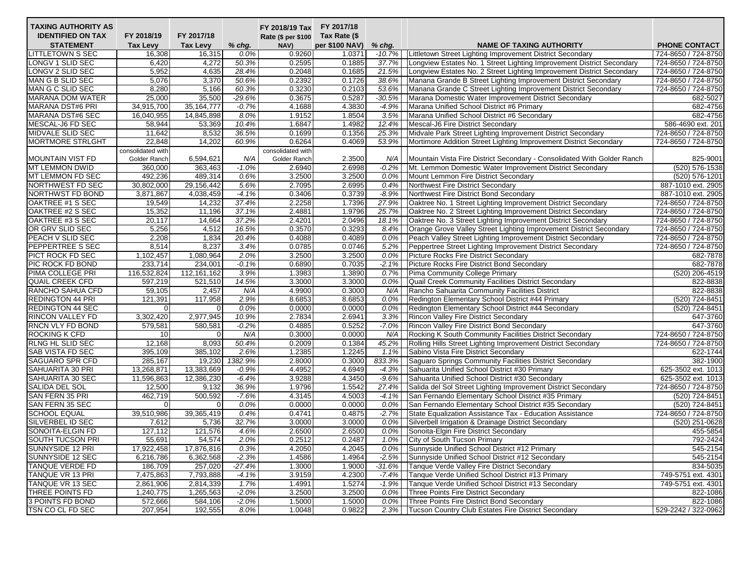| <b>TAXING AUTHORITY AS</b> |                   |                 |          | FY 2018/19 Tax FY 2017/18       |                |          |                                                                                                          |                     |
|----------------------------|-------------------|-----------------|----------|---------------------------------|----------------|----------|----------------------------------------------------------------------------------------------------------|---------------------|
| <b>IDENTIFIED ON TAX</b>   | FY 2018/19        | FY 2017/18      |          | Rate (\$ per \$100 Tax Rate (\$ |                |          |                                                                                                          |                     |
| <b>STATEMENT</b>           | <b>Tax Levy</b>   | <b>Tax Levy</b> | % chg.   | NAV)                            | per \$100 NAV) | $%$ chg. | <b>NAME OF TAXING AUTHORITY</b>                                                                          | PHONE CONTACT       |
| <b>LITTLETOWN S SEC</b>    | 16,308            | 16,315          | 0.0%     | 0.9260                          | 1.0371         | $-10.7%$ | Littletown Street Lighting Improvement District Secondary                                                | 724-8650 / 724-8750 |
| LONGV 1 SLID SEC           | 6,420             | 4,272           | 50.3%    | 0.2595                          | 0.1885         | 37.7%    | Longview Estates No. 1 Street Lighting Improvement District Secondary                                    | 724-8650 / 724-8750 |
| LONGV 2 SLID SEC           | 5,952             | 4,635           | 28.4%    | 0.2048                          | 0.1685         | 21.5%    | Longview Estates No. 2 Street Lighting Improvement District Secondary                                    | 724-8650 / 724-8750 |
| MAN G B SLID SEC           | 5,076             | 3,370           | 50.6%    | 0.2392                          | 0.1726         | 38.6%    | Manana Grande B Street Lighting Improvement District Secondary                                           | 724-8650 / 724-8750 |
| MAN G C SLID SEC           | 8,280             | 5,166           | 60.3%    | 0.3230                          | 0.2103         | 53.6%    | Manana Grande C Street Lighting Improvement District Secondary                                           | 724-8650 / 724-8750 |
| <b>MARANA DOM WATER</b>    | 25,000            | 35,500          | $-29.6%$ | 0.3675                          | 0.5287         | $-30.5%$ | Marana Domestic Water Improvement District Secondary                                                     | 682-5027            |
| <b>MARANA DST#6 PRI</b>    | 34,915,700        | 35, 164, 777    | $-0.7%$  | 4.1688                          | 4.3830         | $-4.9%$  | Marana Unified School District #6 Primary                                                                | 682-4756            |
| <b>MARANA DST#6 SEC</b>    | 16,040,955        | 14,845,898      | 8.0%     | 1.9152                          | 1.8504         | 3.5%     | Marana Unified School District #6 Secondary                                                              | 682-4756            |
| MESCAL-J6 FD SEC           | 58,944            | 53,369          | 10.4%    | 1.6847                          | 1.4982         | 12.4%    | Mescal-J6 Fire District Secondary                                                                        | 586-4690 ext. 201   |
| MIDVALE SLID SEC           | 11,642            | 8,532           | 36.5%    | 0.1699                          | 0.1356         | 25.3%    | Midvale Park Street Lighting Improvement District Secondary                                              | 724-8650 / 724-8750 |
| <b>MORTMORE STRLGHT</b>    | 22,848            | 14,202          | 60.9%    | 0.6264                          | 0.4069         | 53.9%    | Mortimore Addition Street Lighting Improvement District Secondary                                        | 724-8650 / 724-8750 |
|                            | consolidated with |                 |          | consolidated with               |                |          |                                                                                                          |                     |
| MOUNTAIN VIST FD           | Golder Ranch      | 6,594,621       | N/A      | Golder Ranch                    | 2.3500         | N/A      | Mountain Vista Fire District Secondary - Consolidated With Golder Ranch                                  | 825-9001            |
| <b>MT LEMMON DWID</b>      | 360.000           | 363,463         | $-1.0%$  | 2.6940                          | 2.6998         | $-0.2%$  | Mt. Lemmon Domestic Water Improvement District Secondary                                                 | (520) 576-1538      |
| MT LEMMON FD SEC           | 492,236           | 489,314         | 0.6%     | 3.2500                          | 3.2500         | 0.0%     | Mount Lemmon Fire District Secondary                                                                     | (520) 576-1201      |
| NORTHWEST FD SEC           | 30,802,000        | 29,156,442      | 5.6%     | 2.7095                          | 2.6995         | 0.4%     | Northwest Fire District Secondary                                                                        | 887-1010 ext. 2905  |
| NORTHWST FD BOND           | 3,871,867         | 4,038,459       | $-4.1%$  | 0.3406                          | 0.3739         | $-8.9%$  | Northwest Fire District Bond Secondary                                                                   | 887-1010 ext. 2905  |
| OAKTREE #1 S SEC           | 19,549            | 14,232          | 37.4%    | 2.2258                          | 1.7396         | 27.9%    | Oaktree No. 1 Street Lighting Improvement District Secondary                                             | 724-8650 / 724-8750 |
| OAKTREE #2 S SEC           | 15,352            | 11,196          | 37.1%    | 2.4881                          | 1.9796         | 25.7%    | Oaktree No. 2 Street Lighting Improvement District Secondary                                             | 724-8650 / 724-8750 |
| OAKTREE #3 S SEC           | 20,117            | 14,664          | 37.2%    | 2.4201                          | 2.0496         | 18.1%    | Oaktree No. 3 Street Lighting Improvement District Secondary                                             | 724-8650 / 724-8750 |
| OR GRV SLID SEC            | 5,256             | 4,512           | 16.5%    | 0.3570                          | 0.3293         | 8.4%     | Orange Grove Valley Street Lighting Improvement District Secondary                                       | 724-8650 / 724-8750 |
| PEACH V SLID SEC           | 2,208             | 1,834           | 20.4%    | 0.4088                          | 0.4089         | 0.0%     | Peach Valley Street Lighting Improvement District Secondary                                              | 724-8650 / 724-8750 |
| PEPPERTREE S SEC           | 8,514             | 8,237           | 3.4%     | 0.0785                          | 0.0746         | 5.2%     | Peppertree Street Lighting Improvement District Secondary                                                | 724-8650 / 724-8750 |
| PICT ROCK FD SEC           | 1,102,457         | 1,080,964       | 2.0%     | 3.2500                          | 3.2500         | 0.0%     | Picture Rocks Fire District Secondary                                                                    | 682-7878            |
| PIC ROCK FD BOND           | 233,714           | 234,001         | $-0.1%$  | 0.6890                          | 0.7035         | $-2.1%$  | Picture Rocks Fire District Bond Secondary                                                               | 682-7878            |
| PIMA COLLEGE PRI           | 116,532,824       | 112,161,162     | 3.9%     | 1.3983                          | 1.3890         | 0.7%     | Pima Community College Primary                                                                           | (520) 206-4519      |
| <b>QUAIL CREEK CFD</b>     | 597,219           | 521,510         | 14.5%    | 3.3000                          | 3.3000         | 0.0%     | Quail Creek Community Facilities District Secondary                                                      | 822-8838            |
| RANCHO SAHUA CFD           | 59,105            | 2,457           | N/A      | 4.9900                          | 0.3000         | N/A      | Rancho Sahuarita Community Facilities District                                                           | 822-8838            |
| <b>REDINGTON 44 PRI</b>    | 121,391           | 117,958         | 2.9%     | 8.6853                          | 8.6853         | 0.0%     | Redington Elementary School District #44 Primary                                                         | (520) 724-8451      |
| <b>REDINGTON 44 SEC</b>    | 0                 | $\mathbf 0$     | 0.0%     | 0.0000                          | 0.0000         | 0.0%     | Redington Elementary School District #44 Secondary                                                       | (520) 724-8451      |
| RINCON VALLEY FD           | 3,302,420         | 2,977,945       | 10.9%    | 2.7834                          | 2.6941         | 3.3%     | <b>Rincon Valley Fire District Secondary</b>                                                             | 647-3760            |
| RNCN VLY FD BOND           | 579,581           | 580,581         | $-0.2%$  | 0.4885                          | 0.5252         | $-7.0%$  | Rincon Valley Fire District Bond Secondary                                                               | 647-3760            |
| ROCKING K CFD              | 10                | $\mathbf 0$     | N/A      | 0.3000                          | 0.0000         | N/A      | Rocking K South Community Facilities District Secondary                                                  | 724-8650 / 724-8750 |
| RLNG HL SLID SEC           | 12,168            | 8,093           | 50.4%    | 0.2009                          | 0.1384         | 45.2%    | Rolling Hills Street Lighting Improvement District Secondary                                             | 724-8650 / 724-8750 |
| <b>SAB VISTA FD SEC</b>    | 395,109           | 385,102         | 2.6%     | 1.2385                          | 1.2245         | 1.1%     | Sabino Vista Fire District Secondary                                                                     | 622-1744            |
| <b>SAGUARO SPR CFD</b>     | 285,167           | 19,230          | 1382.9%  | 2.8000                          | 0.3000         | 833.3%   |                                                                                                          | 382-1900            |
| SAHUARITA 30 PRI           | 13,268,871        | 13,383,669      | $-0.9%$  | 4.4952                          | 4.6949         | $-4.3%$  | Saguaro Springs Community Facilities District Secondary<br>Sahuarita Unified School District #30 Primary | 625-3502 ext. 1013  |
| SAHUARITA 30 SEC           |                   |                 |          |                                 |                | $-9.6%$  |                                                                                                          | 625-3502 ext. 1013  |
|                            | 11,596,863        | 12,386,230      | $-6.4%$  | 3.9288                          | 4.3450         |          | Sahuarita Unified School District #30 Secondary                                                          |                     |
| SALIDA DEL SOL             | 12,500            | 9,132           | 36.9%    | 1.9796                          | 1.5542         | 27.4%    | Salida del Sol Street Lighting Improvement District Secondary                                            | 724-8650 / 724-8750 |
| SAN FERN 35 PRI            | 462,719           | 500,592         | $-7.6%$  | 4.3145                          | 4.5003         | $-4.1%$  | San Fernando Elementary School District #35 Primary                                                      | (520) 724-8451      |
| SAN FERN 35 SEC            | $\Omega$          | $\mathbf 0$     | 0.0%     | 0.0000                          | 0.0000         | 0.0%     | San Fernando Elementary School District #35 Secondary                                                    | (520) 724-8451      |
| <b>SCHOOL EQUAL</b>        | 39,510,986        | 39,365,419      | 0.4%     | 0.4741                          | 0.4875         | $-2.7%$  | State Equalization Assistance Tax - Education Assistance                                                 | 724-8650 / 724-8750 |
| SILVERBEL ID SEC           | 7,612             | 5,736           | 32.7%    | 3.0000                          | 3.0000         | 0.0%     | Silverbell Irrigation & Drainage District Secondary                                                      | (520) 251-0628      |
| SONOITA-ELGIN FD           | 127,112           | 121,576         | 4.6%     | 2.6500                          | 2.6500         | 0.0%     | Sonoita-Elgin Fire District Secondary                                                                    | 455-5854            |
| SOUTH TUCSON PRI           | 55,691            | 54,574          | 2.0%     | 0.2512                          | 0.2487         | 1.0%     | City of South Tucson Primary                                                                             | 792-2424            |
| SUNNYSIDE 12 PRI           | 17,922,458        | 17,876,816      | 0.3%     | 4.2050                          | 4.2045         | 0.0%     | Sunnyside Unified School District #12 Primary                                                            | 545-2154            |
| SUNNYSIDE 12 SEC           | 6,216,786         | 6,362,568       | $-2.3%$  | 1.4586                          | 1.4964         | $-2.5%$  | Sunnyside Unified School District #12 Secondary                                                          | 545-2154            |
| TANQUE VERDE FD            | 186,709           | 257,020         | $-27.4%$ | 1.3000                          | 1.9000         | $-31.6%$ | Tanque Verde Valley Fire District Secondary                                                              | 834-5035            |
| <b>TANQUE VR 13 PRI</b>    | 7,475,863         | 7,793,888       | $-4.1%$  | 3.9159                          | 4.2300         | $-7.4%$  | Tanque Verde Unified School District #13 Primary                                                         | 749-5751 ext. 4301  |
| TANQUE VR 13 SEC           | 2,861,906         | 2,814,339       | 1.7%     | 1.4991                          | 1.5274         | $-1.9%$  | Tanque Verde Unified School District #13 Secondary                                                       | 749-5751 ext. 4301  |
| THREE POINTS FD            | 1,240,775         | 1,265,563       | $-2.0%$  | 3.2500                          | 3.2500         | 0.0%     | Three Points Fire District Secondary                                                                     | 822-1086            |
| 3 POINTS FD BOND           | 572,666           | 584,106         | $-2.0%$  | 1.5000                          | 1.5000         | 0.0%     | Three Points Fire District Bond Secondary                                                                | 822-1086            |
| TSN CO CL FD SEC           | 207,954           | 192,555         | 8.0%     | 1.0048                          | 0.9822         | 2.3%     | Tucson Country Club Estates Fire District Secondary                                                      | 529-2242 / 322-0962 |